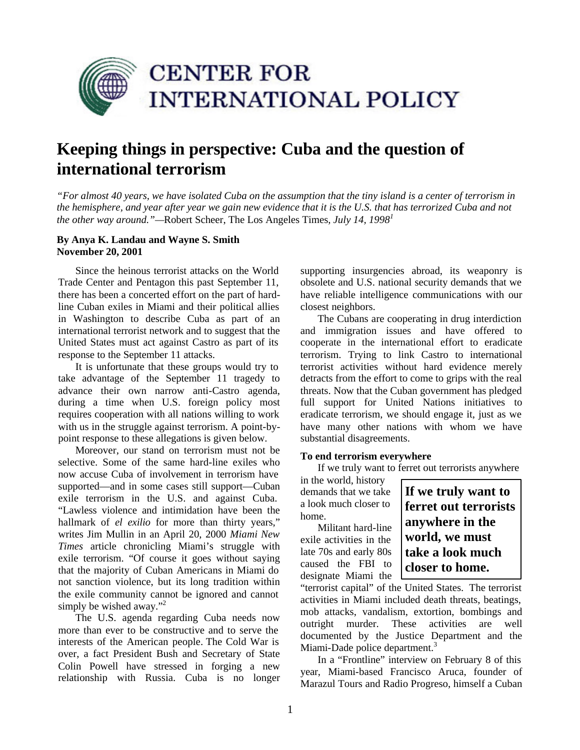

# **Keeping things in perspective: Cuba and the question of international terrorism**

*"For almost 40 years, we have isolated Cuba on the assumption that the tiny island is a center of terrorism in the hemisphere, and year after year we gain new evidence that it is the U.S. that has terrorized Cuba and not the other way around."—*Robert Scheer, The Los Angeles Times*, July 14, 1998<sup>1</sup>*

# **By Anya K. Landau and Wayne S. Smith November 20, 2001**

Since the heinous terrorist attacks on the World Trade Center and Pentagon this past September 11, there has been a concerted effort on the part of hardline Cuban exiles in Miami and their political allies in Washington to describe Cuba as part of an international terrorist network and to suggest that the United States must act against Castro as part of its response to the September 11 attacks.

It is unfortunate that these groups would try to take advantage of the September 11 tragedy to advance their own narrow anti-Castro agenda, during a time when U.S. foreign policy most requires cooperation with all nations willing to work with us in the struggle against terrorism. A point-bypoint response to these allegations is given below.

Moreover, our stand on terrorism must not be selective. Some of the same hard-line exiles who now accuse Cuba of involvement in terrorism have supported—and in some cases still support—Cuban exile terrorism in the U.S. and against Cuba. "Lawless violence and intimidation have been the hallmark of *el exilio* for more than thirty years," writes Jim Mullin in an April 20, 2000 *Miami New Times* article chronicling Miami's struggle with exile terrorism. "Of course it goes without saying that the majority of Cuban Americans in Miami do not sanction violence, but its long tradition within the exile community cannot be ignored and cannot simply be wished away."<sup>2</sup>

The U.S. agenda regarding Cuba needs now more than ever to be constructive and to serve the interests of the American people. The Cold War is over, a fact President Bush and Secretary of State Colin Powell have stressed in forging a new relationship with Russia. Cuba is no longer supporting insurgencies abroad, its weaponry is obsolete and U.S. national security demands that we have reliable intelligence communications with our closest neighbors.

The Cubans are cooperating in drug interdiction and immigration issues and have offered to cooperate in the international effort to eradicate terrorism. Trying to link Castro to international terrorist activities without hard evidence merely detracts from the effort to come to grips with the real threats. Now that the Cuban government has pledged full support for United Nations initiatives to eradicate terrorism, we should engage it, just as we have many other nations with whom we have substantial disagreements.

#### **To end terrorism everywhere**

If we truly want to ferret out terrorists anywhere

in the world, history demands that we take a look much closer to home.

Militant hard-line exile activities in the late 70s and early 80s caused the FBI to designate Miami the **If we truly want to ferret out terrorists anywhere in the world, we must take a look much closer to home.** 

"terrorist capital" of the United States. The terrorist activities in Miami included death threats, beatings, mob attacks, vandalism, extortion, bombings and outright murder. These activities are well documented by the Justice Department and the Miami-Dade police department.<sup>3</sup>

In a "Frontline" interview on February 8 of this year, Miami-based Francisco Aruca, founder of Marazul Tours and Radio Progreso, himself a Cuban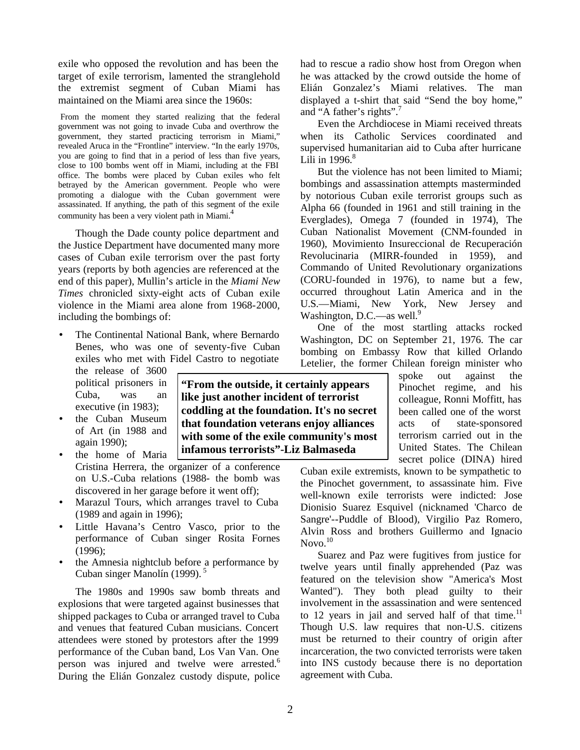exile who opposed the revolution and has been the target of exile terrorism, lamented the stranglehold the extremist segment of Cuban Miami has maintained on the Miami area since the 1960s:

From the moment they started realizing that the federal government was not going to invade Cuba and overthrow the government, they started practicing terrorism in Miami," revealed Aruca in the "Frontline" interview. "In the early 1970s, you are going to find that in a period of less than five years, close to 100 bombs went off in Miami, including at the FBI office. The bombs were placed by Cuban exiles who felt betrayed by the American government. People who were promoting a dialogue with the Cuban government were assassinated. If anything, the path of this segment of the exile community has been a very violent path in Miami.<sup>4</sup>

Though the Dade county police department and the Justice Department have documented many more cases of Cuban exile terrorism over the past forty years (reports by both agencies are referenced at the end of this paper), Mullin's article in the *Miami New Times* chronicled sixty-eight acts of Cuban exile violence in the Miami area alone from 1968-2000, including the bombings of:

• The Continental National Bank, where Bernardo Benes, who was one of seventy-five Cuban exiles who met with Fidel Castro to negotiate

the release of 3600 political prisoners in Cuba, was an executive (in 1983);

- the Cuban Museum of Art (in 1988 and again 1990);
- the home of Maria Cristina Herrera, the organizer of a conference on U.S.-Cuba relations (1988- the bomb was discovered in her garage before it went off);
- Marazul Tours, which arranges travel to Cuba (1989 and again in 1996);
- Little Havana's Centro Vasco, prior to the performance of Cuban singer Rosita Fornes (1996);
- the Amnesia nightclub before a performance by Cuban singer Manolín (1999).<sup>5</sup>

The 1980s and 1990s saw bomb threats and explosions that were targeted against businesses that shipped packages to Cuba or arranged travel to Cuba and venues that featured Cuban musicians. Concert attendees were stoned by protestors after the 1999 performance of the Cuban band, Los Van Van. One person was injured and twelve were arrested.<sup>6</sup> During the Elián Gonzalez custody dispute, police had to rescue a radio show host from Oregon when he was attacked by the crowd outside the home of Elián Gonzalez's Miami relatives. The man displayed a t-shirt that said "Send the boy home," and "A father's rights".

Even the Archdiocese in Miami received threats when its Catholic Services coordinated and supervised humanitarian aid to Cuba after hurricane Lili in  $1996$ .<sup>8</sup>

But the violence has not been limited to Miami; bombings and assassination attempts masterminded by notorious Cuban exile terrorist groups such as Alpha 66 (founded in 1961 and still training in the Everglades), Omega 7 (founded in 1974), The Cuban Nationalist Movement (CNM-founded in 1960), Movimiento Insureccional de Recuperación Revolucinaria (MIRR-founded in 1959), and Commando of United Revolutionary organizations (CORU-founded in 1976), to name but a few, occurred throughout Latin America and in the U.S.—Miami, New York, New Jersey and Washington, D.C.—as well.<sup>9</sup>

One of the most startling attacks rocked Washington, DC on September 21, 1976. The car bombing on Embassy Row that killed Orlando Letelier, the former Chilean foreign minister who

> spoke out against the Pinochet regime, and his colleague, Ronni Moffitt, has been called one of the worst acts of state-sponsored terrorism carried out in the United States. The Chilean secret police (DINA) hired

Cuban exile extremists, known to be sympathetic to the Pinochet government, to assassinate him. Five well-known exile terrorists were indicted: Jose Dionisio Suarez Esquivel (nicknamed 'Charco de Sangre'--Puddle of Blood), Virgilio Paz Romero, Alvin Ross and brothers Guillermo and Ignacio  $N$ ovo. $10$ 

Suarez and Paz were fugitives from justice for twelve years until finally apprehended (Paz was featured on the television show "America's Most Wanted"). They both plead guilty to their involvement in the assassination and were sentenced to 12 years in jail and served half of that time.<sup>11</sup> Though U.S. law requires that non-U.S. citizens must be returned to their country of origin after incarceration, the two convicted terrorists were taken into INS custody because there is no deportation agreement with Cuba.

**"From the outside, it certainly appears like just another incident of terrorist coddling at the foundation. It's no secret that foundation veterans enjoy alliances with some of the exile community's most infamous terrorists"-Liz Balmaseda**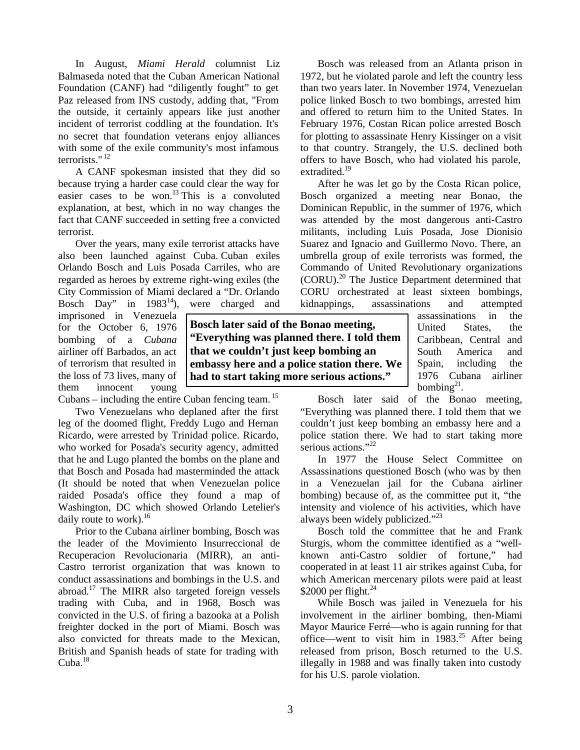In August, *Miami Herald* columnist Liz Balmaseda noted that the Cuban American National Foundation (CANF) had "diligently fought" to get Paz released from INS custody, adding that, "From the outside, it certainly appears like just another incident of terrorist coddling at the foundation. It's no secret that foundation veterans enjoy alliances with some of the exile community's most infamous terrorists." <sup>12</sup>

A CANF spokesman insisted that they did so because trying a harder case could clear the way for easier cases to be won.<sup>13</sup> This is a convoluted explanation, at best, which in no way changes the fact that CANF succeeded in setting free a convicted terrorist.

Over the years, many exile terrorist attacks have also been launched against Cuba. Cuban exiles Orlando Bosch and Luis Posada Carriles, who are regarded as heroes by extreme right-wing exiles (the City Commission of Miami declared a "Dr. Orlando

Bosch Day" in 1983<sup>14</sup>), were charged and imprisoned in Venezuela for the October 6, 1976 bombing of a *Cubana* airliner off Barbados, an act of terrorism that resulted in the loss of 73 lives, many of them innocent young

Cubans – including the entire Cuban fencing team.  $^{15}$ 

Two Venezuelans who deplaned after the first leg of the doomed flight, Freddy Lugo and Hernan Ricardo, were arrested by Trinidad police. Ricardo, who worked for Posada's security agency, admitted that he and Lugo planted the bombs on the plane and that Bosch and Posada had masterminded the attack (It should be noted that when Venezuelan police raided Posada's office they found a map of Washington, DC which showed Orlando Letelier's daily route to work). $^{16}$ 

Prior to the Cubana airliner bombing, Bosch was the leader of the Movimiento Insurreccional de Recuperacion Revolucionaria (MIRR), an anti-Castro terrorist organization that was known to conduct assassinations and bombings in the U.S. and abroad.<sup>17</sup> The MIRR also targeted foreign vessels trading with Cuba, and in 1968, Bosch was convicted in the U.S. of firing a bazooka at a Polish freighter docked in the port of Miami. Bosch was also convicted for threats made to the Mexican, British and Spanish heads of state for trading with Cuba.<sup>18</sup>

**Bosch later said of the Bonao meeting, "Everything was planned there. I told them that we couldn't just keep bombing an embassy here and a police station there. We had to start taking more serious actions."**

Bosch was released from an Atlanta prison in 1972, but he violated parole and left the country less than two years later. In November 1974, Venezuelan police linked Bosch to two bombings, arrested him and offered to return him to the United States. In February 1976, Costan Rican police arrested Bosch for plotting to assassinate Henry Kissinger on a visit to that country. Strangely, the U.S. declined both offers to have Bosch, who had violated his parole, extradited.<sup>19</sup>

After he was let go by the Costa Rican police, Bosch organized a meeting near Bonao, the Dominican Republic, in the summer of 1976, which was attended by the most dangerous anti-Castro militants, including Luis Posada, Jose Dionisio Suarez and Ignacio and Guillermo Novo. There, an umbrella group of exile terrorists was formed, the Commando of United Revolutionary organizations (CORU).<sup>20</sup> The Justice Department determined that CORU orchestrated at least sixteen bombings, kidnappings, assassinations and attempted

assassinations in the United States, the Caribbean, Central and South America and Spain, including the 1976 Cubana airliner bombing $21$ .

Bosch later said of the Bonao meeting, "Everything was planned there. I told them that we couldn't just keep bombing an embassy here and a police station there. We had to start taking more serious actions."<sup>22</sup>

In 1977 the House Select Committee on Assassinations questioned Bosch (who was by then in a Venezuelan jail for the Cubana airliner bombing) because of, as the committee put it, "the intensity and violence of his activities, which have always been widely publicized."<sup>23</sup>

Bosch told the committee that he and Frank Sturgis, whom the committee identified as a "wellknown anti-Castro soldier of fortune," had cooperated in at least 11 air strikes against Cuba, for which American mercenary pilots were paid at least \$2000 per flight. $^{24}$ 

While Bosch was jailed in Venezuela for his involvement in the airliner bombing, then-Miami Mayor Maurice Ferré—who is again running for that office—went to visit him in  $1983<sup>25</sup>$  After being released from prison, Bosch returned to the U.S. illegally in 1988 and was finally taken into custody for his U.S. parole violation.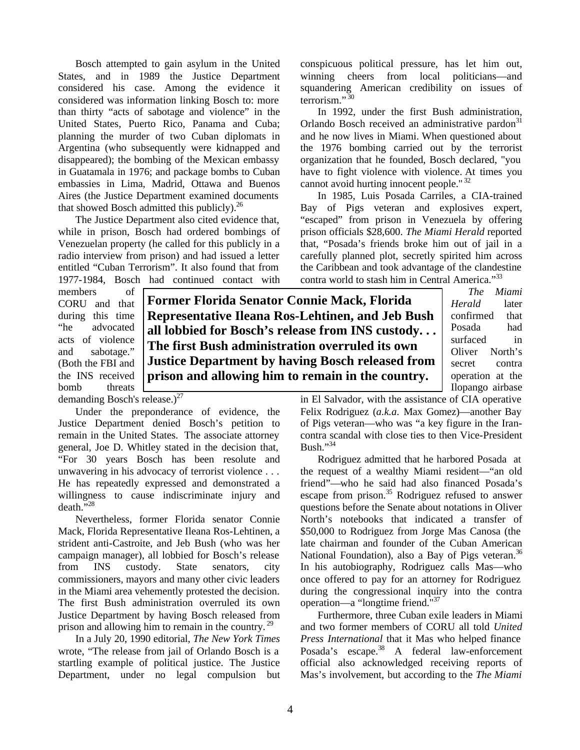Bosch attempted to gain asylum in the United States, and in 1989 the Justice Department considered his case. Among the evidence it considered was information linking Bosch to: more than thirty "acts of sabotage and violence" in the United States, Puerto Rico, Panama and Cuba; planning the murder of two Cuban diplomats in Argentina (who subsequently were kidnapped and disappeared); the bombing of the Mexican embassy in Guatamala in 1976; and package bombs to Cuban embassies in Lima, Madrid, Ottawa and Buenos Aires (the Justice Department examined documents that showed Bosch admitted this publicly).<sup>26</sup>

The Justice Department also cited evidence that, while in prison, Bosch had ordered bombings of Venezuelan property (he called for this publicly in a radio interview from prison) and had issued a letter entitled "Cuban Terrorism". It also found that from 1977-1984, Bosch had continued contact with

members of CORU and that during this time "he advocated acts of violence and sabotage." (Both the FBI and the INS received bomb threats

**Former Florida Senator Connie Mack, Florida Representative Ileana Ros-Lehtinen, and Jeb Bush all lobbied for Bosch's release from INS custody. . . The first Bush administration overruled its own Justice Department by having Bosch released from prison and allowing him to remain in the country.**

*The Miami Herald* later confirmed that Posada had surfaced in Oliver North's secret contra operation at the Ilopango airbase

demanding Bosch's release.) $^{27}$ 

Under the preponderance of evidence, the Justice Department denied Bosch's petition to remain in the United States. The associate attorney general, Joe D. Whitley stated in the decision that, "For 30 years Bosch has been resolute and unwavering in his advocacy of terrorist violence . . . He has repeatedly expressed and demonstrated a willingness to cause indiscriminate injury and  $death$ <sup>5,28</sup>

Nevertheless, former Florida senator Connie Mack, Florida Representative Ileana Ros-Lehtinen, a strident anti-Castroite, and Jeb Bush (who was her campaign manager), all lobbied for Bosch's release from INS custody. State senators, city commissioners, mayors and many other civic leaders in the Miami area vehemently protested the decision. The first Bush administration overruled its own Justice Department by having Bosch released from prison and allowing him to remain in the country.<sup>29</sup>

In a July 20, 1990 editorial, *The New York Times* wrote, "The release from jail of Orlando Bosch is a startling example of political justice. The Justice Department, under no legal compulsion but in El Salvador, with the assistance of CIA operative Felix Rodriguez (*a.k.a.* Max Gomez)—another Bay of Pigs veteran—who was "a key figure in the Irancontra scandal with close ties to then Vice-President Bush."34

Rodriguez admitted that he harbored Posada at the request of a wealthy Miami resident—"an old friend"—who he said had also financed Posada's escape from prison.<sup>35</sup> Rodriguez refused to answer questions before the Senate about notations in Oliver North's notebooks that indicated a transfer of \$50,000 to Rodriguez from Jorge Mas Canosa (the late chairman and founder of the Cuban American National Foundation), also a Bay of Pigs veteran.<sup>36</sup> In his autobiography, Rodriguez calls Mas—who once offered to pay for an attorney for Rodriguez during the congressional inquiry into the contra operation—a "longtime friend."<sup>37</sup>

Furthermore, three Cuban exile leaders in Miami and two former members of CORU all told *United Press International* that it Mas who helped finance Posada's escape.<sup>38</sup> A federal law-enforcement official also acknowledged receiving reports of Mas's involvement, but according to the *The Miami* 

conspicuous political pressure, has let him out, winning cheers from local politicians—and squandering American credibility on issues of terrorism."<sup>30</sup>

In 1992, under the first Bush administration, Orlando Bosch received an administrative pardon<sup>31</sup> and he now lives in Miami. When questioned about the 1976 bombing carried out by the terrorist organization that he founded, Bosch declared, "you have to fight violence with violence. At times you cannot avoid hurting innocent people." <sup>32</sup>

In 1985, Luis Posada Carriles, a CIA-trained Bay of Pigs veteran and explosives expert, "escaped" from prison in Venezuela by offering prison officials \$28,600. *The Miami Herald* reported that, "Posada's friends broke him out of jail in a carefully planned plot, secretly spirited him across the Caribbean and took advantage of the clandestine contra world to stash him in Central America."<sup>33</sup>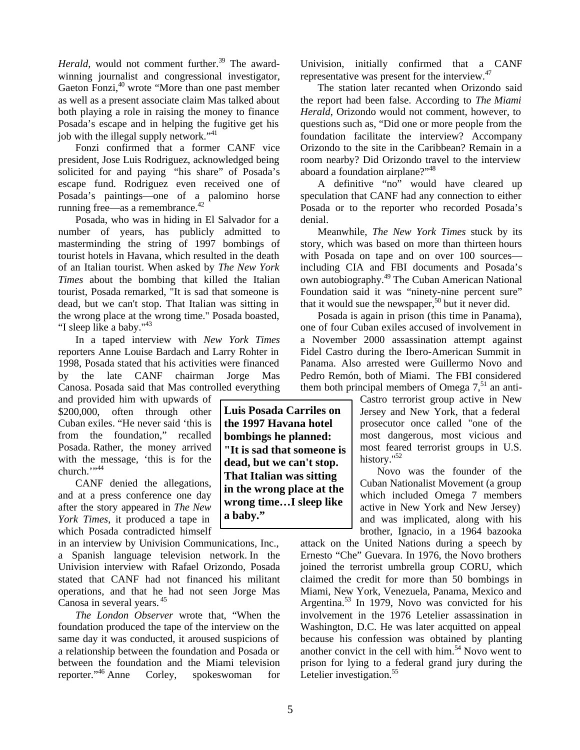*Herald*, would not comment further.<sup>39</sup> The awardwinning journalist and congressional investigator, Gaeton Fonzi, $40$  wrote "More than one past member as well as a present associate claim Mas talked about both playing a role in raising the money to finance Posada's escape and in helping the fugitive get his job with the illegal supply network."<sup>41</sup>

Fonzi confirmed that a former CANF vice president, Jose Luis Rodriguez, acknowledged being solicited for and paying "his share" of Posada's escape fund. Rodriguez even received one of Posada's paintings—one of a palomino horse running free—as a remembrance.<sup>42</sup>

Posada, who was in hiding in El Salvador for a number of years, has publicly admitted to masterminding the string of 1997 bombings of tourist hotels in Havana, which resulted in the death of an Italian tourist. When asked by *The New York Times* about the bombing that killed the Italian tourist, Posada remarked, "It is sad that someone is dead, but we can't stop. That Italian was sitting in the wrong place at the wrong time." Posada boasted, "I sleep like a baby."<sup>43</sup>

In a taped interview with *New York Times* reporters Anne Louise Bardach and Larry Rohter in 1998, Posada stated that his activities were financed by the late CANF chairman Jorge Mas Canosa. Posada said that Mas controlled everything

and provided him with upwards of \$200,000, often through other Cuban exiles. "He never said 'this is from the foundation," recalled Posada. Rather, the money arrived with the message, 'this is for the church."<sup>44</sup>

CANF denied the allegations, and at a press conference one day after the story appeared in *The New York Times*, it produced a tape in which Posada contradicted himself

in an interview by Univision Communications, Inc., a Spanish language television network. In the Univision interview with Rafael Orizondo, Posada stated that CANF had not financed his militant operations, and that he had not seen Jorge Mas Canosa in several years. <sup>45</sup>

*The London Observer* wrote that, "When the foundation produced the tape of the interview on the same day it was conducted, it aroused suspicions of a relationship between the foundation and Posada or between the foundation and the Miami television reporter."<sup>46</sup> Anne Corley, spokeswoman for Univision, initially confirmed that a CANF representative was present for the interview.<sup>47</sup>

The station later recanted when Orizondo said the report had been false. According to *The Miami Herald*, Orizondo would not comment, however, to questions such as, "Did one or more people from the foundation facilitate the interview? Accompany Orizondo to the site in the Caribbean? Remain in a room nearby? Did Orizondo travel to the interview aboard a foundation airplane?"<sup>48</sup>

A definitive "no" would have cleared up speculation that CANF had any connection to either Posada or to the reporter who recorded Posada's denial.

Meanwhile, *The New York Times* stuck by its story, which was based on more than thirteen hours with Posada on tape and on over 100 sources including CIA and FBI documents and Posada's own autobiography.<sup>49</sup> The Cuban American National Foundation said it was "ninety-nine percent sure" that it would sue the newspaper,  $50$  but it never did.

Posada is again in prison (this time in Panama), one of four Cuban exiles accused of involvement in a November 2000 assassination attempt against Fidel Castro during the Ibero-American Summit in Panama. Also arrested were Guillermo Novo and Pedro Remón, both of Miami. The FBI considered them both principal members of Omega  $7<sup>51</sup>$  an anti-

> Castro terrorist group active in New Jersey and New York, that a federal prosecutor once called "one of the most dangerous, most vicious and most feared terrorist groups in U.S. history."<sup>52</sup>

> Novo was the founder of the Cuban Nationalist Movement (a group which included Omega 7 members active in New York and New Jersey) and was implicated, along with his brother, Ignacio, in a 1964 bazooka

attack on the United Nations during a speech by Ernesto "Che" Guevara. In 1976, the Novo brothers joined the terrorist umbrella group CORU, which claimed the credit for more than 50 bombings in Miami, New York, Venezuela, Panama, Mexico and Argentina.<sup>53</sup> In 1979, Novo was convicted for his involvement in the 1976 Letelier assassination in Washington, D.C. He was later acquitted on appeal because his confession was obtained by planting another convict in the cell with him.<sup>54</sup> Novo went to prison for lying to a federal grand jury during the Letelier investigation.<sup>55</sup>

**Luis Posada Carriles on the 1997 Havana hotel bombings he planned: "It is sad that someone is dead, but we can't stop. That Italian was sitting in the wrong place at the wrong time…I sleep like a baby."**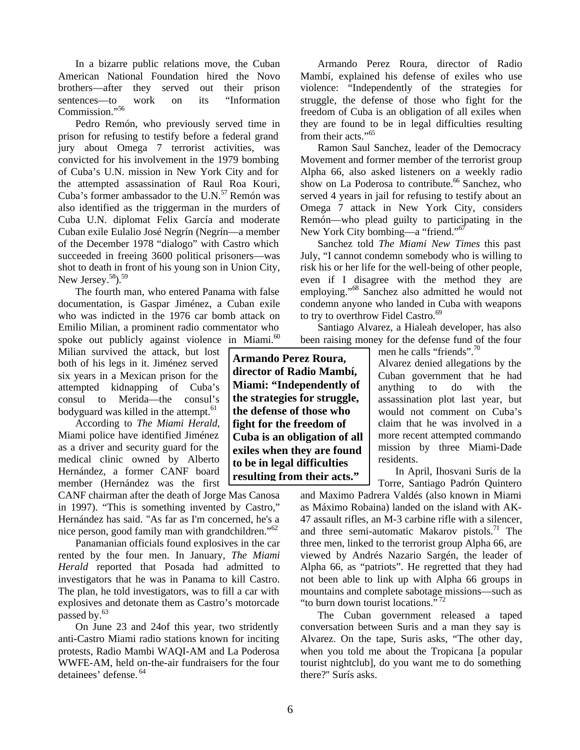In a bizarre public relations move, the Cuban American National Foundation hired the Novo brothers—after they served out their prison sentences—to work on its "Information Commission."56

Pedro Remón, who previously served time in prison for refusing to testify before a federal grand jury about Omega 7 terrorist activities, was convicted for his involvement in the 1979 bombing of Cuba's U.N. mission in New York City and for the attempted assassination of Raul Roa Kouri, Cuba's former ambassador to the U.N.<sup>57</sup> Remón was also identified as the triggerman in the murders of Cuba U.N. diplomat Felix García and moderate Cuban exile Eulalio José Negrín (Negrín—a member of the December 1978 "dialogo" with Castro which succeeded in freeing 3600 political prisoners—was shot to death in front of his young son in Union City, New Jersey.<sup>58</sup>).<sup>59</sup>

The fourth man, who entered Panama with false documentation, is Gaspar Jiménez, a Cuban exile who was indicted in the 1976 car bomb attack on Emilio Milian, a prominent radio commentator who spoke out publicly against violence in Miami.<sup>60</sup>

Milian survived the attack, but lost both of his legs in it. Jiménez served six years in a Mexican prison for the attempted kidnapping of Cuba's consul to Merida—the consul's bodyguard was killed in the attempt.<sup>61</sup>

According to *The Miami Herald*, Miami police have identified Jiménez as a driver and security guard for the medical clinic owned by Alberto Hernández, a former CANF board member (Hernández was the first

CANF chairman after the death of Jorge Mas Canosa in 1997). "This is something invented by Castro," Hernández has said. "As far as I'm concerned, he's a nice person, good family man with grandchildren."<sup>62</sup>

Panamanian officials found explosives in the car rented by the four men. In January, *The Miami Herald* reported that Posada had admitted to investigators that he was in Panama to kill Castro. The plan, he told investigators, was to fill a car with explosives and detonate them as Castro's motorcade passed by.<sup>63</sup>

On June 23 and 24of this year, two stridently anti-Castro Miami radio stations known for inciting protests, Radio Mambi WAQI-AM and La Poderosa WWFE-AM, held on-the-air fundraisers for the four detainees' defense. <sup>64</sup>

Armando Perez Roura, director of Radio Mambí, explained his defense of exiles who use violence: "Independently of the strategies for struggle, the defense of those who fight for the freedom of Cuba is an obligation of all exiles when they are found to be in legal difficulties resulting from their acts."<sup>65</sup>

Ramon Saul Sanchez, leader of the Democracy Movement and former member of the terrorist group Alpha 66, also asked listeners on a weekly radio show on La Poderosa to contribute.<sup>66</sup> Sanchez, who served 4 years in jail for refusing to testify about an Omega 7 attack in New York City, considers Remón—who plead guilty to participating in the New York City bombing—a "friend."<sup>67</sup>

Sanchez told *The Miami New Times* this past July, "I cannot condemn somebody who is willing to risk his or her life for the well-being of other people, even if I disagree with the method they are employing."<sup>68</sup> Sanchez also admitted he would not condemn anyone who landed in Cuba with weapons to try to overthrow Fidel Castro.<sup>69</sup>

Santiago Alvarez, a Hialeah developer, has also been raising money for the defense fund of the four

**Armando Perez Roura, director of Radio Mambí, Miami: "Independently of the strategies for struggle, the defense of those who fight for the freedom of Cuba is an obligation of all exiles when they are found to be in legal difficulties resulting from their acts."**

men he calls "friends".<sup>70</sup> Alvarez denied allegations by the Cuban government that he had anything to do with the assassination plot last year, but would not comment on Cuba's claim that he was involved in a more recent attempted commando mission by three Miami-Dade residents.

In April, Ihosvani Suris de la Torre, Santiago Padrón Quintero

and Maximo Padrera Valdés (also known in Miami as Máximo Robaina) landed on the island with AK-47 assault rifles, an M-3 carbine rifle with a silencer, and three semi-automatic Makarov pistols. $^{71}$  The three men, linked to the terrorist group Alpha 66, are viewed by Andrés Nazario Sargén, the leader of Alpha 66, as "patriots". He regretted that they had not been able to link up with Alpha 66 groups in mountains and complete sabotage missions—such as "to burn down tourist locations."<sup>72</sup>

The Cuban government released a taped conversation between Suris and a man they say is Alvarez. On the tape, Suris asks, "The other day, when you told me about the Tropicana [a popular tourist nightclub], do you want me to do something there?'' Surís asks.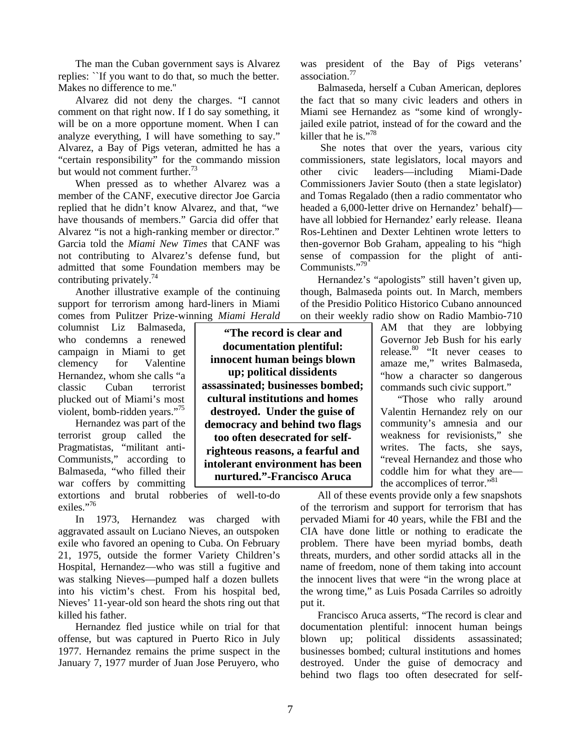The man the Cuban government says is Alvarez replies: ``If you want to do that, so much the better. Makes no difference to me.''

Alvarez did not deny the charges. "I cannot comment on that right now. If I do say something, it will be on a more opportune moment. When I can analyze everything, I will have something to say." Alvarez, a Bay of Pigs veteran, admitted he has a "certain responsibility" for the commando mission but would not comment further.<sup>73</sup>

When pressed as to whether Alvarez was a member of the CANF, executive director Joe Garcia replied that he didn't know Alvarez, and that, "we have thousands of members." Garcia did offer that Alvarez "is not a high-ranking member or director." Garcia told the *Miami New Times* that CANF was not contributing to Alvarez's defense fund, but admitted that some Foundation members may be contributing privately.<sup>74</sup>

Another illustrative example of the continuing support for terrorism among hard-liners in Miami comes from Pulitzer Prize-winning *Miami Herald*

columnist Liz Balmaseda, who condemns a renewed campaign in Miami to get clemency for Valentine Hernandez, whom she calls "a classic Cuban terrorist plucked out of Miami's most violent, bomb-ridden years."<sup>75</sup>

Hernandez was part of the terrorist group called the Pragmatistas, "militant anti-Communists," according to Balmaseda, "who filled their war coffers by committing

extortions and brutal robberies of well-to-do exiles."76

In 1973, Hernandez was charged with aggravated assault on Luciano Nieves, an outspoken exile who favored an opening to Cuba. On February 21, 1975, outside the former Variety Children's Hospital, Hernandez—who was still a fugitive and was stalking Nieves—pumped half a dozen bullets into his victim's chest. From his hospital bed, Nieves' 11-year-old son heard the shots ring out that killed his father.

Hernandez fled justice while on trial for that offense, but was captured in Puerto Rico in July 1977. Hernandez remains the prime suspect in the January 7, 1977 murder of Juan Jose Peruyero, who

**"The record is clear and documentation plentiful: innocent human beings blown up; political dissidents assassinated; businesses bombed; cultural institutions and homes destroyed. Under the guise of democracy and behind two flags too often desecrated for selfrighteous reasons, a fearful and intolerant environment has been nurtured."-Francisco Aruca**

was president of the Bay of Pigs veterans' association.<sup>77</sup>

Balmaseda, herself a Cuban American, deplores the fact that so many civic leaders and others in Miami see Hernandez as "some kind of wronglyjailed exile patriot, instead of for the coward and the killer that he is."<sup>78</sup>

 She notes that over the years, various city commissioners, state legislators, local mayors and other civic leaders—including Miami-Dade Commissioners Javier Souto (then a state legislator) and Tomas Regalado (then a radio commentator who headed a 6,000-letter drive on Hernandez' behalf) have all lobbied for Hernandez' early release. Ileana Ros-Lehtinen and Dexter Lehtinen wrote letters to then-governor Bob Graham, appealing to his "high sense of compassion for the plight of anti-Communists."<sup>79</sup>

Hernandez's "apologists" still haven't given up, though, Balmaseda points out. In March, members of the Presidio Politico Historico Cubano announced on their weekly radio show on Radio Mambio-710

> AM that they are lobbying Governor Jeb Bush for his early release. $80$  "It never ceases to amaze me," writes Balmaseda, "how a character so dangerous commands such civic support."

> "Those who rally around Valentin Hernandez rely on our community's amnesia and our weakness for revisionists," she writes. The facts, she says, "reveal Hernandez and those who coddle him for what they are the accomplices of terror."<sup>81</sup>

All of these events provide only a few snapshots of the terrorism and support for terrorism that has pervaded Miami for 40 years, while the FBI and the CIA have done little or nothing to eradicate the problem. There have been myriad bombs, death threats, murders, and other sordid attacks all in the name of freedom, none of them taking into account the innocent lives that were "in the wrong place at the wrong time," as Luis Posada Carriles so adroitly put it.

Francisco Aruca asserts, "The record is clear and documentation plentiful: innocent human beings blown up; political dissidents assassinated; businesses bombed; cultural institutions and homes destroyed. Under the guise of democracy and behind two flags too often desecrated for self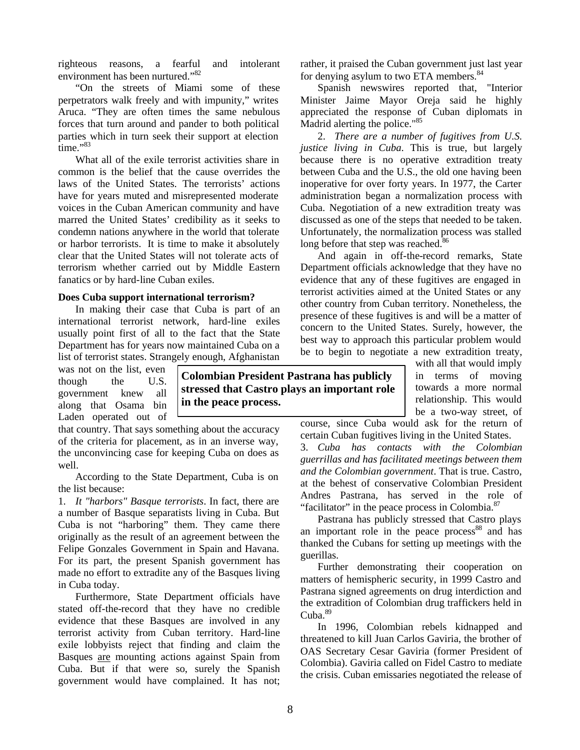righteous reasons, a fearful and intolerant environment has been nurtured."<sup>82</sup>

"On the streets of Miami some of these perpetrators walk freely and with impunity," writes Aruca. "They are often times the same nebulous forces that turn around and pander to both political parties which in turn seek their support at election  $time.$ <sup>983</sup>

What all of the exile terrorist activities share in common is the belief that the cause overrides the laws of the United States. The terrorists' actions have for years muted and misrepresented moderate voices in the Cuban American community and have marred the United States' credibility as it seeks to condemn nations anywhere in the world that tolerate or harbor terrorists. It is time to make it absolutely clear that the United States will not tolerate acts of terrorism whether carried out by Middle Eastern fanatics or by hard-line Cuban exiles.

#### **Does Cuba support international terrorism?**

In making their case that Cuba is part of an international terrorist network, hard-line exiles usually point first of all to the fact that the State Department has for years now maintained Cuba on a list of terrorist states. Strangely enough, Afghanistan

was not on the list, even though the U.S. government knew all along that Osama bin Laden operated out of

that country. That says something about the accuracy of the criteria for placement, as in an inverse way, the unconvincing case for keeping Cuba on does as well.

According to the State Department, Cuba is on the list because:

1. *It "harbors" Basque terrorists*. In fact, there are a number of Basque separatists living in Cuba. But Cuba is not "harboring" them. They came there originally as the result of an agreement between the Felipe Gonzales Government in Spain and Havana. For its part, the present Spanish government has made no effort to extradite any of the Basques living in Cuba today.

Furthermore, State Department officials have stated off-the-record that they have no credible evidence that these Basques are involved in any terrorist activity from Cuban territory. Hard-line exile lobbyists reject that finding and claim the Basques are mounting actions against Spain from Cuba. But if that were so, surely the Spanish government would have complained. It has not; rather, it praised the Cuban government just last year for denying asylum to two ETA members.<sup>84</sup>

Spanish newswires reported that, "Interior Minister Jaime Mayor Oreja said he highly appreciated the response of Cuban diplomats in Madrid alerting the police."<sup>85</sup>

2. *There are a number of fugitives from U.S. justice living in Cuba*. This is true, but largely because there is no operative extradition treaty between Cuba and the U.S., the old one having been inoperative for over forty years. In 1977, the Carter administration began a normalization process with Cuba. Negotiation of a new extradition treaty was discussed as one of the steps that needed to be taken. Unfortunately, the normalization process was stalled long before that step was reached.<sup>86</sup>

And again in off-the-record remarks, State Department officials acknowledge that they have no evidence that any of these fugitives are engaged in terrorist activities aimed at the United States or any other country from Cuban territory. Nonetheless, the presence of these fugitives is and will be a matter of concern to the United States. Surely, however, the best way to approach this particular problem would be to begin to negotiate a new extradition treaty,

**Colombian President Pastrana has publicly stressed that Castro plays an important role in the peace process.**

with all that would imply in terms of moving towards a more normal relationship. This would be a two-way street, of

course, since Cuba would ask for the return of certain Cuban fugitives living in the United States.

3. *Cuba has contacts with the Colombian guerrillas and has facilitated meetings between them and the Colombian government*. That is true. Castro, at the behest of conservative Colombian President Andres Pastrana, has served in the role of "facilitator" in the peace process in Colombia.<sup>87</sup>

Pastrana has publicly stressed that Castro plays an important role in the peace process<sup>88</sup> and has thanked the Cubans for setting up meetings with the guerillas.

Further demonstrating their cooperation on matters of hemispheric security, in 1999 Castro and Pastrana signed agreements on drug interdiction and the extradition of Colombian drug traffickers held in Cuba.<sup>89</sup>

In 1996, Colombian rebels kidnapped and threatened to kill Juan Carlos Gaviria, the brother of OAS Secretary Cesar Gaviria (former President of Colombia). Gaviria called on Fidel Castro to mediate the crisis. Cuban emissaries negotiated the release of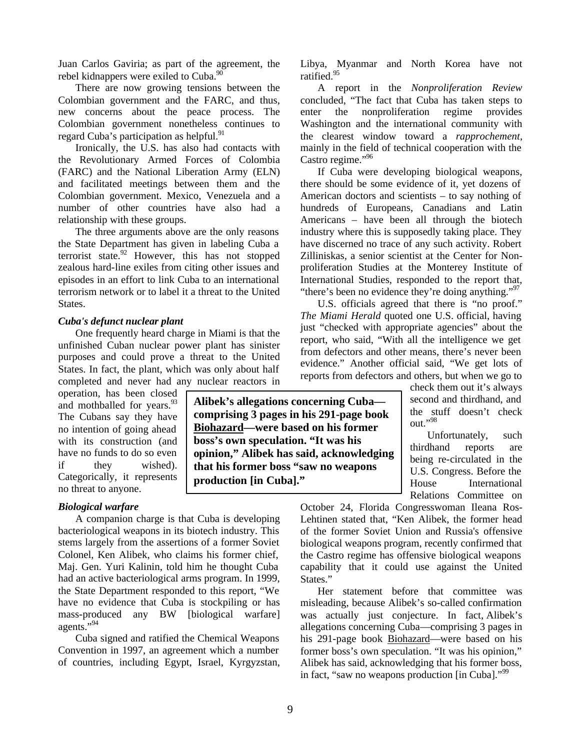Juan Carlos Gaviria; as part of the agreement, the rebel kidnappers were exiled to Cuba.<sup>90</sup>

There are now growing tensions between the Colombian government and the FARC, and thus, new concerns about the peace process. The Colombian government nonetheless continues to regard Cuba's participation as helpful.<sup>91</sup>

Ironically, the U.S. has also had contacts with the Revolutionary Armed Forces of Colombia (FARC) and the National Liberation Army (ELN) and facilitated meetings between them and the Colombian government. Mexico, Venezuela and a number of other countries have also had a relationship with these groups.

The three arguments above are the only reasons the State Department has given in labeling Cuba a terrorist state.<sup>92</sup> However, this has not stopped zealous hard-line exiles from citing other issues and episodes in an effort to link Cuba to an international terrorism network or to label it a threat to the United States.

#### *Cuba's defunct nuclear plant*

One frequently heard charge in Miami is that the unfinished Cuban nuclear power plant has sinister purposes and could prove a threat to the United States. In fact, the plant, which was only about half completed and never had any nuclear reactors in

operation, has been closed and mothballed for years. $93$ The Cubans say they have no intention of going ahead with its construction (and have no funds to do so even if they wished). Categorically, it represents no threat to anyone.

#### *Biological warfare*

A companion charge is that Cuba is developing bacteriological weapons in its biotech industry. This stems largely from the assertions of a former Soviet Colonel, Ken Alibek, who claims his former chief, Maj. Gen. Yuri Kalinin, told him he thought Cuba had an active bacteriological arms program. In 1999, the State Department responded to this report, "We have no evidence that Cuba is stockpiling or has mass-produced any BW [biological warfare] agents."94

Cuba signed and ratified the Chemical Weapons Convention in 1997, an agreement which a number of countries, including Egypt, Israel, Kyrgyzstan, Libya, Myanmar and North Korea have not ratified.<sup>95</sup>

A report in the *Nonproliferation Review* concluded, "The fact that Cuba has taken steps to enter the nonproliferation regime provides Washington and the international community with the clearest window toward a *rapprochement*, mainly in the field of technical cooperation with the Castro regime."<sup>96</sup>

If Cuba were developing biological weapons, there should be some evidence of it, yet dozens of American doctors and scientists – to say nothing of hundreds of Europeans, Canadians and Latin Americans – have been all through the biotech industry where this is supposedly taking place. They have discerned no trace of any such activity. Robert Zilliniskas, a senior scientist at the Center for Nonproliferation Studies at the Monterey Institute of International Studies, responded to the report that, "there's been no evidence they're doing anything."<sup>97</sup>

U.S. officials agreed that there is "no proof." *The Miami Herald* quoted one U.S. official, having just "checked with appropriate agencies" about the report, who said, "With all the intelligence we get from defectors and other means, there's never been evidence." Another official said, "We get lots of reports from defectors and others, but when we go to

> check them out it's always second and thirdhand, and the stuff doesn't check out."98

Unfortunately, such thirdhand reports are being re-circulated in the U.S. Congress. Before the House International Relations Committee on

October 24, Florida Congresswoman Ileana Ros-Lehtinen stated that, "Ken Alibek, the former head of the former Soviet Union and Russia's offensive biological weapons program, recently confirmed that the Castro regime has offensive biological weapons capability that it could use against the United States."

Her statement before that committee was misleading, because Alibek's so-called confirmation was actually just conjecture. In fact, Alibek's allegations concerning Cuba—comprising 3 pages in his 291-page book Biohazard—were based on his former boss's own speculation. "It was his opinion," Alibek has said, acknowledging that his former boss, in fact, "saw no weapons production [in Cuba]."<sup>99</sup>

**Alibek's allegations concerning Cuba comprising 3 pages in his 291-page book Biohazard—were based on his former boss's own speculation. "It was his opinion," Alibek has said, acknowledging that his former boss "saw no weapons production [in Cuba]."**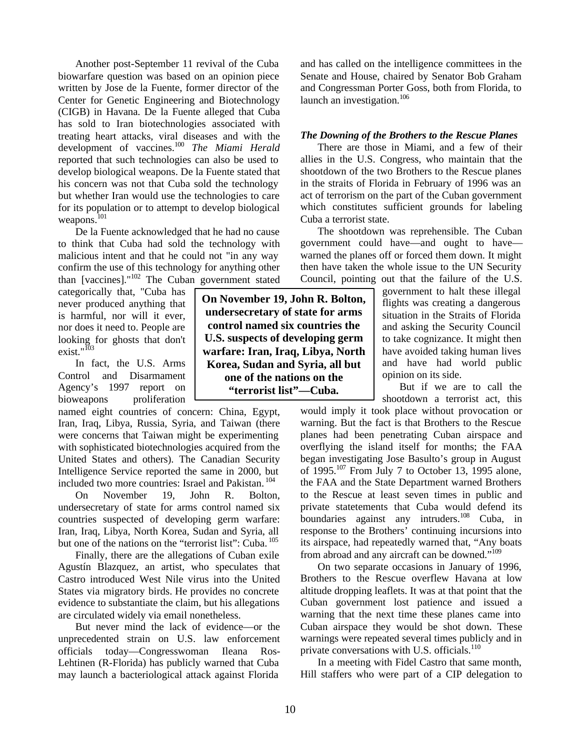Another post-September 11 revival of the Cuba biowarfare question was based on an opinion piece written by Jose de la Fuente, former director of the Center for Genetic Engineering and Biotechnology (CIGB) in Havana. De la Fuente alleged that Cuba has sold to Iran biotechnologies associated with treating heart attacks, viral diseases and with the development of vaccines.<sup>100</sup> *The Miami Herald* reported that such technologies can also be used to develop biological weapons. De la Fuente stated that his concern was not that Cuba sold the technology but whether Iran would use the technologies to care for its population or to attempt to develop biological weapons.<sup>101</sup>

De la Fuente acknowledged that he had no cause to think that Cuba had sold the technology with malicious intent and that he could not "in any way confirm the use of this technology for anything other than [vaccines]."<sup>102</sup> The Cuban government stated

categorically that, "Cuba has never produced anything that is harmful, nor will it ever, nor does it need to. People are looking for ghosts that don't exist."<sup>103</sup>

In fact, the U.S. Arms Control and Disarmament Agency's 1997 report on bioweapons proliferation

named eight countries of concern: China, Egypt, Iran, Iraq, Libya, Russia, Syria, and Taiwan (there were concerns that Taiwan might be experimenting with sophisticated biotechnologies acquired from the United States and others). The Canadian Security Intelligence Service reported the same in 2000, but included two more countries: Israel and Pakistan. <sup>104</sup>

On November 19, John R. Bolton, undersecretary of state for arms control named six countries suspected of developing germ warfare: Iran, Iraq, Libya, North Korea, Sudan and Syria, all but one of the nations on the "terrorist list": Cuba.<sup>105</sup>

Finally, there are the allegations of Cuban exile Agustín Blazquez, an artist, who speculates that Castro introduced West Nile virus into the United States via migratory birds. He provides no concrete evidence to substantiate the claim, but his allegations are circulated widely via email nonetheless.

But never mind the lack of evidence—or the unprecedented strain on U.S. law enforcement officials today—Congresswoman Ileana Ros-Lehtinen (R-Florida) has publicly warned that Cuba may launch a bacteriological attack against Florida

**On November 19, John R. Bolton, undersecretary of state for arms control named six countries the U.S. suspects of developing germ warfare: Iran, Iraq, Libya, North Korea, Sudan and Syria, all but one of the nations on the "terrorist list"—Cuba.**

and has called on the intelligence committees in the Senate and House, chaired by Senator Bob Graham and Congressman Porter Goss, both from Florida, to launch an investigation.<sup>106</sup>

#### *The Downing of the Brothers to the Rescue Planes*

There are those in Miami, and a few of their allies in the U.S. Congress, who maintain that the shootdown of the two Brothers to the Rescue planes in the straits of Florida in February of 1996 was an act of terrorism on the part of the Cuban government which constitutes sufficient grounds for labeling Cuba a terrorist state.

The shootdown was reprehensible. The Cuban government could have—and ought to have warned the planes off or forced them down. It might then have taken the whole issue to the UN Security Council, pointing out that the failure of the U.S.

government to halt these illegal flights was creating a dangerous situation in the Straits of Florida and asking the Security Council to take cognizance. It might then have avoided taking human lives and have had world public opinion on its side.

But if we are to call the shootdown a terrorist act, this

would imply it took place without provocation or warning. But the fact is that Brothers to the Rescue planes had been penetrating Cuban airspace and overflying the island itself for months; the FAA began investigating Jose Basulto's group in August of 1995.<sup>107</sup> From July 7 to October 13, 1995 alone, the FAA and the State Department warned Brothers to the Rescue at least seven times in public and private statetements that Cuba would defend its boundaries against any intruders.<sup>108</sup> Cuba, in response to the Brothers' continuing incursions into its airspace, had repeatedly warned that, "Any boats from abroad and any aircraft can be downed."<sup>109</sup>

On two separate occasions in January of 1996, Brothers to the Rescue overflew Havana at low altitude dropping leaflets. It was at that point that the Cuban government lost patience and issued a warning that the next time these planes came into Cuban airspace they would be shot down. These warnings were repeated several times publicly and in private conversations with U.S. officials. $110$ 

In a meeting with Fidel Castro that same month, Hill staffers who were part of a CIP delegation to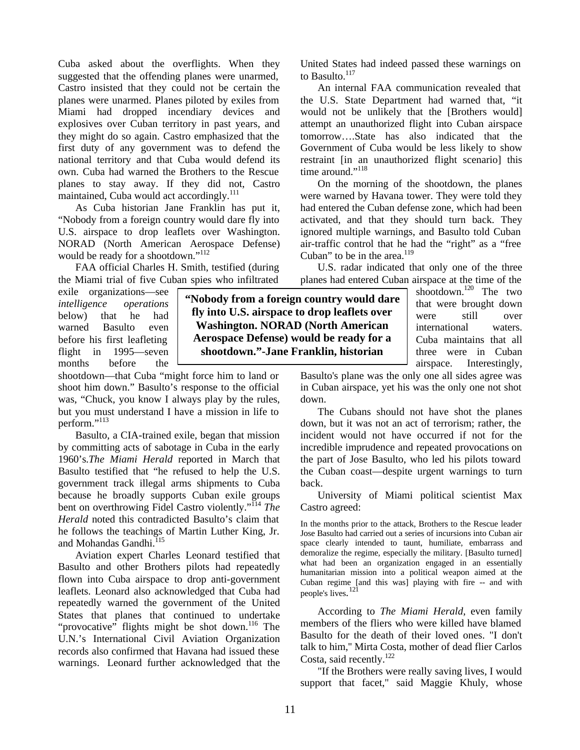Cuba asked about the overflights. When they suggested that the offending planes were unarmed, Castro insisted that they could not be certain the planes were unarmed. Planes piloted by exiles from Miami had dropped incendiary devices and explosives over Cuban territory in past years, and they might do so again. Castro emphasized that the first duty of any government was to defend the national territory and that Cuba would defend its own. Cuba had warned the Brothers to the Rescue planes to stay away. If they did not, Castro maintained, Cuba would act accordingly.<sup>111</sup>

As Cuba historian Jane Franklin has put it, "Nobody from a foreign country would dare fly into U.S. airspace to drop leaflets over Washington. NORAD (North American Aerospace Defense) would be ready for a shootdown."<sup>112</sup>

FAA official Charles H. Smith, testified (during the Miami trial of five Cuban spies who infiltrated

exile organizations—see *intelligence operations* below) that he had warned Basulto even before his first leafleting flight in 1995—seven months before the

shootdown—that Cuba "might force him to land or shoot him down." Basulto's response to the official was, "Chuck, you know I always play by the rules, but you must understand I have a mission in life to perform."<sup>113</sup>

Basulto, a CIA-trained exile, began that mission by committing acts of sabotage in Cuba in the early 1960's.*The Miami Herald* reported in March that Basulto testified that "he refused to help the U.S. government track illegal arms shipments to Cuba because he broadly supports Cuban exile groups bent on overthrowing Fidel Castro violently."<sup>114</sup> The *Herald* noted this contradicted Basulto's claim that he follows the teachings of Martin Luther King, Jr. and Mohandas Gandhi.<sup>115</sup>

Aviation expert Charles Leonard testified that Basulto and other Brothers pilots had repeatedly flown into Cuba airspace to drop anti-government leaflets. Leonard also acknowledged that Cuba had repeatedly warned the government of the United States that planes that continued to undertake "provocative" flights might be shot down.<sup>116</sup> The U.N.'s International Civil Aviation Organization records also confirmed that Havana had issued these warnings. Leonard further acknowledged that the

United States had indeed passed these warnings on to Basulto. $117$ 

An internal FAA communication revealed that the U.S. State Department had warned that, "it would not be unlikely that the [Brothers would] attempt an unauthorized flight into Cuban airspace tomorrow….State has also indicated that the Government of Cuba would be less likely to show restraint [in an unauthorized flight scenario] this time around."<sup>118</sup>

On the morning of the shootdown, the planes were warned by Havana tower. They were told they had entered the Cuban defense zone, which had been activated, and that they should turn back. They ignored multiple warnings, and Basulto told Cuban air-traffic control that he had the "right" as a "free Cuban" to be in the area.<sup>119</sup>

U.S. radar indicated that only one of the three planes had entered Cuban airspace at the time of the

shootdown.<sup>120</sup> The two that were brought down were still over international waters. Cuba maintains that all three were in Cuban airspace. Interestingly,

Basulto's plane was the only one all sides agree was in Cuban airspace, yet his was the only one not shot down.

The Cubans should not have shot the planes down, but it was not an act of terrorism; rather, the incident would not have occurred if not for the incredible imprudence and repeated provocations on the part of Jose Basulto, who led his pilots toward the Cuban coast—despite urgent warnings to turn back.

University of Miami political scientist Max Castro agreed:

In the months prior to the attack, Brothers to the Rescue leader Jose Basulto had carried out a series of incursions into Cuban air space clearly intended to taunt, humiliate, embarrass and demoralize the regime, especially the military. [Basulto turned] what had been an organization engaged in an essentially humanitarian mission into a political weapon aimed at the Cuban regime [and this was] playing with fire -- and with people's lives.<sup>121</sup>

According to *The Miami Herald*, even family members of the fliers who were killed have blamed Basulto for the death of their loved ones. "I don't talk to him,'' Mirta Costa, mother of dead flier Carlos Costa, said recently.<sup>122</sup>

"If the Brothers were really saving lives, I would support that facet," said Maggie Khuly, whose

**"Nobody from a foreign country would dare fly into U.S. airspace to drop leaflets over Washington. NORAD (North American Aerospace Defense) would be ready for a shootdown."-Jane Franklin, historian**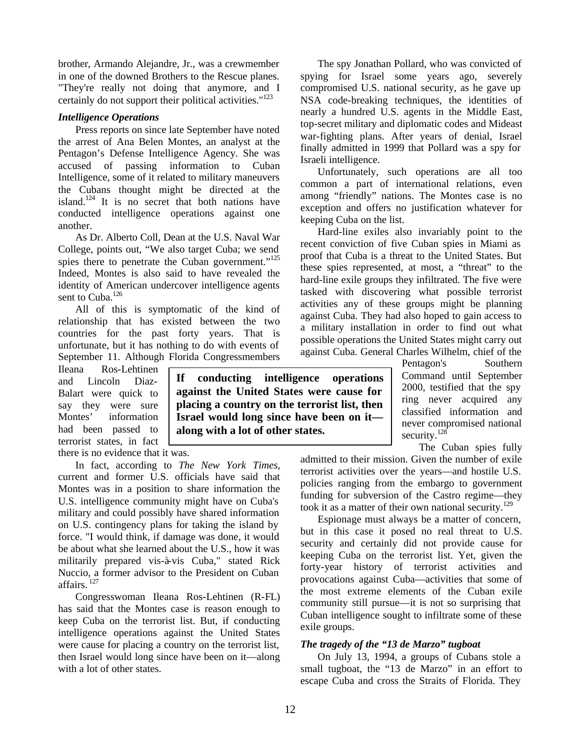brother, Armando Alejandre, Jr., was a crewmember in one of the downed Brothers to the Rescue planes. "They're really not doing that anymore, and I certainly do not support their political activities." $123$ 

#### *Intelligence Operations*

Press reports on since late September have noted the arrest of Ana Belen Montes, an analyst at the Pentagon's Defense Intelligence Agency. She was accused of passing information to Cuban Intelligence, some of it related to military maneuvers the Cubans thought might be directed at the island.<sup>124</sup> It is no secret that both nations have conducted intelligence operations against one another.

As Dr. Alberto Coll, Dean at the U.S. Naval War College, points out, "We also target Cuba; we send spies there to penetrate the Cuban government."<sup>125</sup> Indeed, Montes is also said to have revealed the identity of American undercover intelligence agents sent to Cuba.<sup>126</sup>

All of this is symptomatic of the kind of relationship that has existed between the two countries for the past forty years. That is unfortunate, but it has nothing to do with events of September 11. Although Florida Congressmembers

Ileana Ros-Lehtinen and Lincoln Diaz-Balart were quick to say they were sure Montes' information had been passed to terrorist states, in fact

there is no evidence that it was.

In fact, according to *The New York Times*, current and former U.S. officials have said that Montes was in a position to share information the U.S. intelligence community might have on Cuba's military and could possibly have shared information on U.S. contingency plans for taking the island by force. "I would think, if damage was done, it would be about what she learned about the U.S., how it was militarily prepared vis-à-vis Cuba," stated Rick Nuccio, a former advisor to the President on Cuban affairs. <sup>127</sup>

Congresswoman Ileana Ros-Lehtinen (R-FL) has said that the Montes case is reason enough to keep Cuba on the terrorist list. But, if conducting intelligence operations against the United States were cause for placing a country on the terrorist list, then Israel would long since have been on it—along with a lot of other states.

**If conducting intelligence operations against the United States were cause for placing a country on the terrorist list, then Israel would long since have been on it along with a lot of other states.** 

The spy Jonathan Pollard, who was convicted of spying for Israel some years ago, severely compromised U.S. national security, as he gave up NSA code-breaking techniques, the identities of nearly a hundred U.S. agents in the Middle East, top-secret military and diplomatic codes and Mideast war-fighting plans. After years of denial, Israel finally admitted in 1999 that Pollard was a spy for Israeli intelligence.

Unfortunately, such operations are all too common a part of international relations, even among "friendly" nations. The Montes case is no exception and offers no justification whatever for keeping Cuba on the list.

Hard-line exiles also invariably point to the recent conviction of five Cuban spies in Miami as proof that Cuba is a threat to the United States. But these spies represented, at most, a "threat" to the hard-line exile groups they infiltrated. The five were tasked with discovering what possible terrorist activities any of these groups might be planning against Cuba. They had also hoped to gain access to a military installation in order to find out what possible operations the United States might carry out against Cuba. General Charles Wilhelm, chief of the

Pentagon's Southern Command until September 2000, testified that the spy ring never acquired any classified information and never compromised national security.<sup>128</sup>

The Cuban spies fully

admitted to their mission. Given the number of exile terrorist activities over the years—and hostile U.S. policies ranging from the embargo to government funding for subversion of the Castro regime—they took it as a matter of their own national security.<sup>129</sup>

Espionage must always be a matter of concern, but in this case it posed no real threat to U.S. security and certainly did not provide cause for keeping Cuba on the terrorist list. Yet, given the forty-year history of terrorist activities and provocations against Cuba—activities that some of the most extreme elements of the Cuban exile community still pursue—it is not so surprising that Cuban intelligence sought to infiltrate some of these exile groups.

#### *The tragedy of the "13 de Marzo" tugboat*

On July 13, 1994, a groups of Cubans stole a small tugboat, the "13 de Marzo" in an effort to escape Cuba and cross the Straits of Florida. They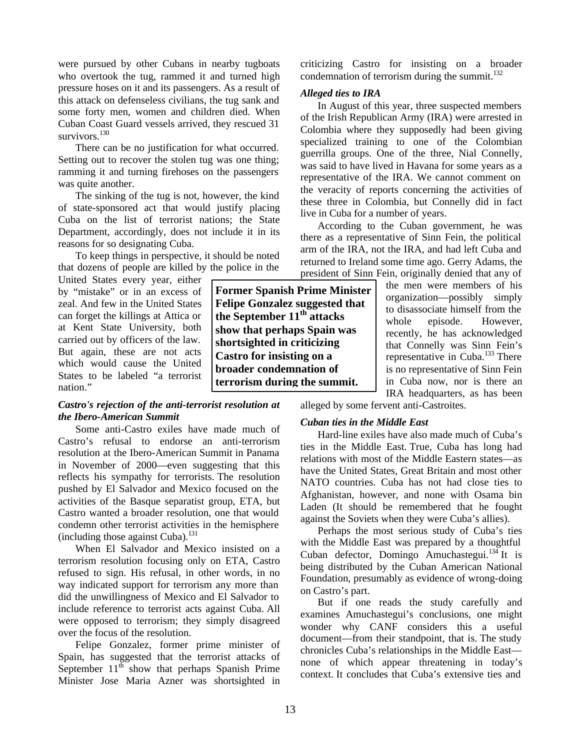were pursued by other Cubans in nearby tugboats who overtook the tug, rammed it and turned high pressure hoses on it and its passengers. As a result of this attack on defenseless civilians, the tug sank and some forty men, women and children died. When Cuban Coast Guard vessels arrived, they rescued 31 survivors. $130$ 

There can be no justification for what occurred. Setting out to recover the stolen tug was one thing; ramming it and turning firehoses on the passengers was quite another.

The sinking of the tug is not, however, the kind of state-sponsored act that would justify placing Cuba on the list of terrorist nations; the State Department, accordingly, does not include it in its reasons for so designating Cuba.

To keep things in perspective, it should be noted that dozens of people are killed by the police in the

United States every year, either by "mistake" or in an excess of zeal. And few in the United States can forget the killings at Attica or at Kent State University, both carried out by officers of the law. But again, these are not acts which would cause the United States to be labeled "a terrorist nation."

# *Castro's rejection of the anti-terrorist resolution at the Ibero-American Summit*

Some anti-Castro exiles have made much of Castro's refusal to endorse an anti-terrorism resolution at the Ibero-American Summit in Panama in November of 2000—even suggesting that this reflects his sympathy for terrorists. The resolution pushed by El Salvador and Mexico focused on the activities of the Basque separatist group, ETA, but Castro wanted a broader resolution, one that would condemn other terrorist activities in the hemisphere (including those against Cuba). $^{131}$ 

When El Salvador and Mexico insisted on a terrorism resolution focusing only on ETA, Castro refused to sign. His refusal, in other words, in no way indicated support for terrorism any more than did the unwillingness of Mexico and El Salvador to include reference to terrorist acts against Cuba. All were opposed to terrorism; they simply disagreed over the focus of the resolution.

Felipe Gonzalez, former prime minister of Spain, has suggested that the terrorist attacks of September  $11^{th}$  show that perhaps Spanish Prime Minister Jose Maria Azner was shortsighted in condemnation of terrorism during the summit. $132$ *Alleged ties to IRA*

In August of this year, three suspected members of the Irish Republican Army (IRA) were arrested in Colombia where they supposedly had been giving specialized training to one of the Colombian guerrilla groups. One of the three, Nial Connelly, was said to have lived in Havana for some years as a representative of the IRA. We cannot comment on the veracity of reports concerning the activities of these three in Colombia, but Connelly did in fact live in Cuba for a number of years.

criticizing Castro for insisting on a broader

According to the Cuban government, he was there as a representative of Sinn Fein, the political arm of the IRA, not the IRA, and had left Cuba and returned to Ireland some time ago. Gerry Adams, the president of Sinn Fein, originally denied that any of

the men were members of his organization—possibly simply to disassociate himself from the whole episode. However, recently, he has acknowledged that Connelly was Sinn Fein's representative in Cuba.<sup>133</sup> There is no representative of Sinn Fein in Cuba now, nor is there an IRA headquarters, as has been

**Former Spanish Prime Minister Felipe Gonzalez suggested that the September 11th attacks show that perhaps Spain was shortsighted in criticizing Castro for insisting on a broader condemnation of terrorism during the summit.**

alleged by some fervent anti-Castroites.

# *Cuban ties in the Middle East*

Hard-line exiles have also made much of Cuba's ties in the Middle East. True, Cuba has long had relations with most of the Middle Eastern states—as have the United States, Great Britain and most other NATO countries. Cuba has not had close ties to Afghanistan, however, and none with Osama bin Laden (It should be remembered that he fought against the Soviets when they were Cuba's allies).

Perhaps the most serious study of Cuba's ties with the Middle East was prepared by a thoughtful Cuban defector, Domingo Amuchastegui.<sup>134</sup> It is being distributed by the Cuban American National Foundation, presumably as evidence of wrong-doing on Castro's part.

But if one reads the study carefully and examines Amuchastegui's conclusions, one might wonder why CANF considers this a useful document—from their standpoint, that is. The study chronicles Cuba's relationships in the Middle East none of which appear threatening in today's context. It concludes that Cuba's extensive ties and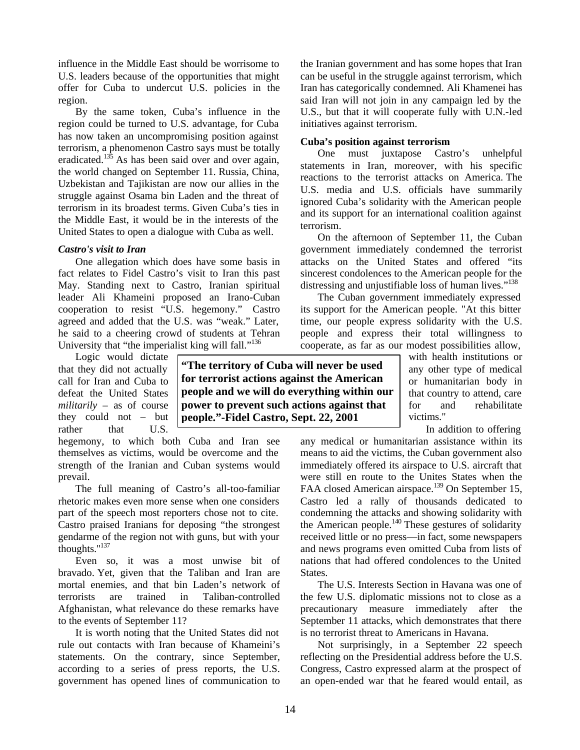influence in the Middle East should be worrisome to U.S. leaders because of the opportunities that might offer for Cuba to undercut U.S. policies in the region.

By the same token, Cuba's influence in the region could be turned to U.S. advantage, for Cuba has now taken an uncompromising position against terrorism, a phenomenon Castro says must be totally eradicated.<sup>135</sup> As has been said over and over again, the world changed on September 11. Russia, China, Uzbekistan and Tajikistan are now our allies in the struggle against Osama bin Laden and the threat of terrorism in its broadest terms. Given Cuba's ties in the Middle East, it would be in the interests of the United States to open a dialogue with Cuba as well.

# *Castro's visit to Iran*

One allegation which does have some basis in fact relates to Fidel Castro's visit to Iran this past May. Standing next to Castro, Iranian spiritual leader Ali Khameini proposed an Irano-Cuban cooperation to resist "U.S. hegemony." Castro agreed and added that the U.S. was "weak." Later, he said to a cheering crowd of students at Tehran University that "the imperialist king will fall."<sup>136</sup>

Logic would dictate that they did not actually call for Iran and Cuba to defeat the United States *militarily* – as of course they could not – but rather that U.S.

hegemony, to which both Cuba and Iran see themselves as victims, would be overcome and the strength of the Iranian and Cuban systems would prevail.

The full meaning of Castro's all-too-familiar rhetoric makes even more sense when one considers part of the speech most reporters chose not to cite. Castro praised Iranians for deposing "the strongest gendarme of the region not with guns, but with your thoughts."<sup>137</sup>

Even so, it was a most unwise bit of bravado. Yet, given that the Taliban and Iran are mortal enemies, and that bin Laden's network of terrorists are trained in Taliban-controlled Afghanistan, what relevance do these remarks have to the events of September 11?

It is worth noting that the United States did not rule out contacts with Iran because of Khameini's statements. On the contrary, since September, according to a series of press reports, the U.S. government has opened lines of communication to

the Iranian government and has some hopes that Iran can be useful in the struggle against terrorism, which Iran has categorically condemned. Ali Khamenei has said Iran will not join in any campaign led by the U.S., but that it will cooperate fully with U.N.-led initiatives against terrorism.

# **Cuba's position against terrorism**

One must juxtapose Castro's unhelpful statements in Iran, moreover, with his specific reactions to the terrorist attacks on America. The U.S. media and U.S. officials have summarily ignored Cuba's solidarity with the American people and its support for an international coalition against terrorism.

On the afternoon of September 11, the Cuban government immediately condemned the terrorist attacks on the United States and offered "its sincerest condolences to the American people for the distressing and unjustifiable loss of human lives."<sup>138</sup>

The Cuban government immediately expressed its support for the American people. "At this bitter time, our people express solidarity with the U.S. people and express their total willingness to cooperate, as far as our modest possibilities allow,

**"The territory of Cuba will never be used for terrorist actions against the American people and we will do everything within our power to prevent such actions against that people."-Fidel Castro, Sept. 22, 2001**

with health institutions or any other type of medical or humanitarian body in that country to attend, care for and rehabilitate victims."

In addition to offering

any medical or humanitarian assistance within its means to aid the victims, the Cuban government also immediately offered its airspace to U.S. aircraft that were still en route to the Unites States when the FAA closed American airspace.<sup>139</sup> On September 15, Castro led a rally of thousands dedicated to condemning the attacks and showing solidarity with the American people.<sup>140</sup> These gestures of solidarity received little or no press—in fact, some newspapers and news programs even omitted Cuba from lists of nations that had offered condolences to the United States.

The U.S. Interests Section in Havana was one of the few U.S. diplomatic missions not to close as a precautionary measure immediately after the September 11 attacks, which demonstrates that there is no terrorist threat to Americans in Havana.

Not surprisingly, in a September 22 speech reflecting on the Presidential address before the U.S. Congress, Castro expressed alarm at the prospect of an open-ended war that he feared would entail, as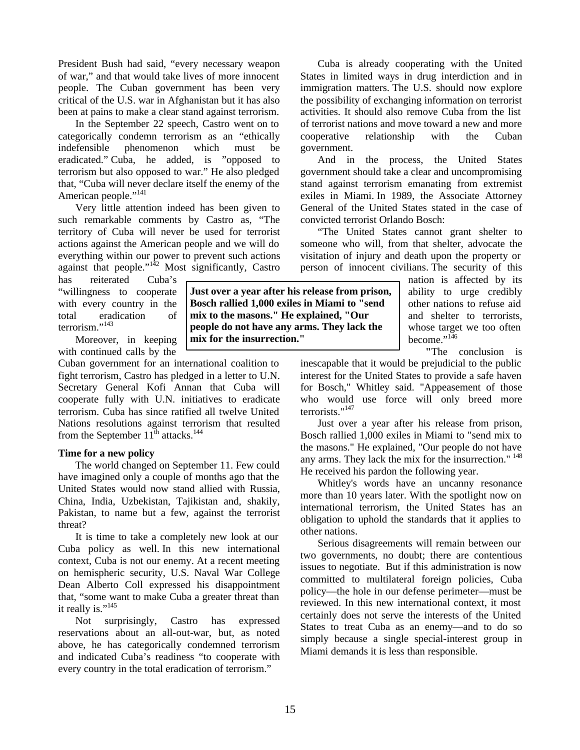President Bush had said, "every necessary weapon of war," and that would take lives of more innocent people. The Cuban government has been very critical of the U.S. war in Afghanistan but it has also been at pains to make a clear stand against terrorism.

In the September 22 speech, Castro went on to categorically condemn terrorism as an "ethically indefensible phenomenon which must be eradicated." Cuba, he added, is "opposed to terrorism but also opposed to war." He also pledged that, "Cuba will never declare itself the enemy of the American people."<sup>141</sup>

Very little attention indeed has been given to such remarkable comments by Castro as, "The territory of Cuba will never be used for terrorist actions against the American people and we will do everything within our power to prevent such actions against that people."<sup>142</sup> Most significantly, Castro

has reiterated Cuba's "willingness to cooperate with every country in the total eradication of terrorism."<sup>143</sup>

Moreover, in keeping with continued calls by the

Cuban government for an international coalition to fight terrorism, Castro has pledged in a letter to U.N. Secretary General Kofi Annan that Cuba will cooperate fully with U.N. initiatives to eradicate terrorism. Cuba has since ratified all twelve United Nations resolutions against terrorism that resulted from the September  $11^{th}$  attacks.<sup>144</sup>

#### **Time for a new policy**

The world changed on September 11. Few could have imagined only a couple of months ago that the United States would now stand allied with Russia, China, India, Uzbekistan, Tajikistan and, shakily, Pakistan, to name but a few, against the terrorist threat?

It is time to take a completely new look at our Cuba policy as well. In this new international context, Cuba is not our enemy. At a recent meeting on hemispheric security, U.S. Naval War College Dean Alberto Coll expressed his disappointment that, "some want to make Cuba a greater threat than it really is." $145$ 

Not surprisingly, Castro has expressed reservations about an all-out-war, but, as noted above, he has categorically condemned terrorism and indicated Cuba's readiness "to cooperate with every country in the total eradication of terrorism."

Cuba is already cooperating with the United States in limited ways in drug interdiction and in immigration matters. The U.S. should now explore the possibility of exchanging information on terrorist activities. It should also remove Cuba from the list of terrorist nations and move toward a new and more cooperative relationship with the Cuban government.

And in the process, the United States government should take a clear and uncompromising stand against terrorism emanating from extremist exiles in Miami. In 1989, the Associate Attorney General of the United States stated in the case of convicted terrorist Orlando Bosch:

"The United States cannot grant shelter to someone who will, from that shelter, advocate the visitation of injury and death upon the property or person of innocent civilians. The security of this

> nation is affected by its ability to urge credibly other nations to refuse aid and shelter to terrorists, whose target we too often become."<sup>146</sup>

**"**The conclusion is

inescapable that it would be prejudicial to the public interest for the United States to provide a safe haven for Bosch," Whitley said. "Appeasement of those who would use force will only breed more terrorists."<sup>147</sup>

Just over a year after his release from prison, Bosch rallied 1,000 exiles in Miami to "send mix to the masons." He explained, "Our people do not have any arms. They lack the mix for the insurrection."<sup>148</sup> He received his pardon the following year.

Whitley's words have an uncanny resonance more than 10 years later. With the spotlight now on international terrorism, the United States has an obligation to uphold the standards that it applies to other nations.

Serious disagreements will remain between our two governments, no doubt; there are contentious issues to negotiate. But if this administration is now committed to multilateral foreign policies, Cuba policy—the hole in our defense perimeter—must be reviewed. In this new international context, it most certainly does not serve the interests of the United States to treat Cuba as an enemy—and to do so simply because a single special-interest group in Miami demands it is less than responsible.

**Just over a year after his release from prison, Bosch rallied 1,000 exiles in Miami to "send mix to the masons." He explained, "Our people do not have any arms. They lack the mix for the insurrection."**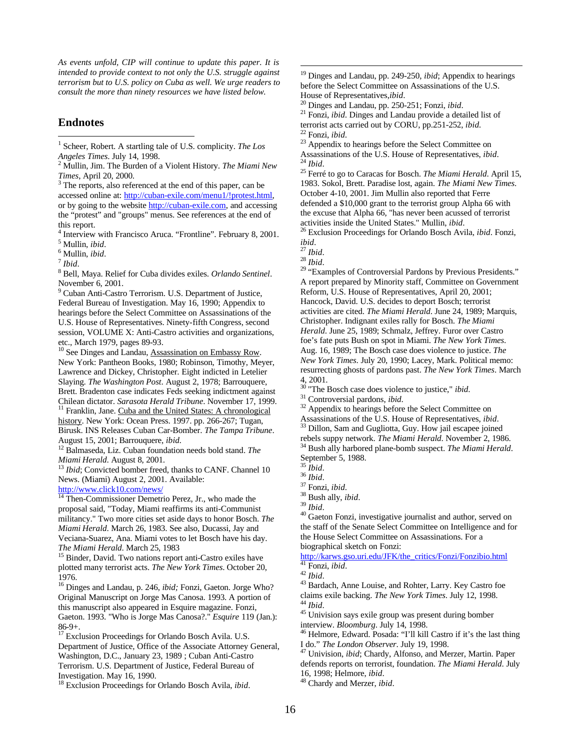*As events unfold, CIP will continue to update this paper. It is intended to provide context to not only the U.S. struggle against terrorism but to U.S. policy on Cuba as well. We urge readers to consult the more than ninety resources we have listed below.* 

#### **Endnotes**

<sup>9</sup> Cuban Anti-Castro Terrorism. U.S. Department of Justice, Federal Bureau of Investigation. May 16, 1990; Appendix to hearings before the Select Committee on Assassinations of the U.S. House of Representatives. Ninety-fifth Congress, second session, VOLUME X: Anti-Castro activities and organizations, etc., March 1979, pages 89-93.

<sup>10</sup> See Dinges and Landau, Assassination on Embassy Row. New York: Pantheon Books, 1980; Robinson, Timothy, Meyer, Lawrence and Dickey, Christopher. Eight indicted in Letelier Slaying. *The Washington Post*. August 2, 1978; Barrouquere, Brett. Bradenton case indicates Feds seeking indictment against Chilean dictator. *Sarasota Herald Tribune*. November 17, 1999.

<sup>11</sup> Franklin, Jane. Cuba and the United States: A chronological history. New York: Ocean Press. 1997. pp. 266-267; Tugan, Birusk. INS Releases Cuban Car-Bomber. *The Tampa Tribune*. August 15, 2001; Barrouquere, *ibid.*

<sup>12</sup> Balmaseda, Liz. Cuban foundation needs bold stand. *The Miami Herald*. August 8, 2001.

*Ibid*; Convicted bomber freed, thanks to CANF. Channel 10 News. (Miami) August 2, 2001. Available:

http://www.click10.com/news/

<sup>14</sup> Then-Commissioner Demetrio Perez, Jr., who made the proposal said, "Today, Miami reaffirms its anti-Communist militancy." Two more cities set aside days to honor Bosch. *The Miami Herald*. March 26, 1983. See also, Ducassi, Jay and Veciana-Suarez, Ana. Miami votes to let Bosch have his day. *The Miami Herald*. March 25, 1983

<sup>15</sup> Binder, David. Two nations report anti-Castro exiles have plotted many terrorist acts. *The New York Times*. October 20, 1976.

<sup>16</sup> Dinges and Landau, p. 246, *ibid;* Fonzi, Gaeton. Jorge Who? Original Manuscript on Jorge Mas Canosa. 1993. A portion of this manuscript also appeared in Esquire magazine. Fonzi, Gaeton. 1993. "Who is Jorge Mas Canosa?." *Esquire* 119 (Jan.): 86-9+.

<sup>17</sup> Exclusion Proceedings for Orlando Bosch Avila. U.S. Department of Justice, Office of the Associate Attorney General, Washington, D.C., January 23, 1989 ; Cuban Anti-Castro Terrorism. U.S. Department of Justice, Federal Bureau of Investigation. May 16, 1990.

<sup>18</sup> Exclusion Proceedings for Orlando Bosch Avila, *ibid*.

<sup>20</sup> Dinges and Landau, pp. 250-251; Fonzi, *ibid*.

<sup>21</sup> Fonzi, *ibid*. Dinges and Landau provide a detailed list of terrorist acts carried out by CORU, pp.251-252, *ibid.* <sup>22</sup> Fonzi, *ibid*.

<sup>23</sup> Appendix to hearings before the Select Committee on Assassinations of the U.S. House of Representatives, *ibid*. <sup>24</sup> *Ibid*.

<sup>25</sup> Ferré to go to Caracas for Bosch. *The Miami Herald*. April 15, 1983. Sokol, Brett. Paradise lost, again. *The Miami New Times*. October 4-10, 2001. Jim Mullin also reported that Ferre defended a \$10,000 grant to the terrorist group Alpha 66 with the excuse that Alpha 66, "has never been acussed of terrorist activities inside the United States." Mullin, *ibid*.

<sup>26</sup> Exclusion Proceedings for Orlando Bosch Avila, *ibid*. Fonzi, *ibid*.

<sup>28</sup> *Ibid*.

 $\overline{a}$ 

<sup>29</sup> "Examples of Controversial Pardons by Previous Presidents." A report prepared by Minority staff, Committee on Government Reform, U.S. House of Representatives, April 20, 2001; Hancock, David. U.S. decides to deport Bosch; terrorist activities are cited. *The Miami Herald*. June 24, 1989; Marquis, Christopher. Indignant exiles rally for Bosch. *The Miami Herald*. June 25, 1989; Schmalz, Jeffrey. Furor over Castro foe's fate puts Bush on spot in Miami. *The New York Times*. Aug. 16, 1989; The Bosch case does violence to justice. *The New York Times*. July 20, 1990; Lacey, Mark. Political memo: resurrecting ghosts of pardons past. *The New York Times*. March 4, 2001.

<sup>30</sup> "The Bosch case does violence to justice," *ibid*.

<sup>31</sup> Controversial pardons, *ibid*.

<sup>32</sup> Appendix to hearings before the Select Committee on Assassinations of the U.S. House of Representatives, *ibid*.

<sup>33</sup> Dillon, Sam and Gugliotta, Guy. How jail escapee joined rebels suppy network. *The Miami Herald*. November 2, 1986.

<sup>34</sup> Bush ally harbored plane-bomb suspect. *The Miami Herald*. September 5, 1988.

<sup>37</sup> Fonzi, *ibid*. <sup>38</sup> Bush ally, *ibid*.

<sup>39</sup> *Ibid*.

<sup>40</sup> Gaeton Fonzi, investigative journalist and author, served on the staff of the Senate Select Committee on Intelligence and for the House Select Committee on Assassinations. For a biographical sketch on Fonzi:

http://karws.gso.uri.edu/JFK/the\_critics/Fonzi/Fonzibio.html <sup>41</sup> Fonzi, *ibid*.

<sup>43</sup> Bardach, Anne Louise, and Rohter, Larry. Key Castro foe claims exile backing. *The New York Times*. July 12, 1998. <sup>44</sup> *Ibid*.

<sup>45</sup> Univision says exile group was present during bomber interview. *Bloomburg*. July 14, 1998.

<sup>48</sup> Chardy and Merzer, *ibid*.

 1 Scheer, Robert. A startling tale of U.S. complicity. *The Los* 

*Angeles Times*. July 14, 1998. 2 Mullin, Jim. The Burden of a Violent History. *The Miami New Times*, April 20, 2000.

<sup>&</sup>lt;sup>3</sup> The reports, also referenced at the end of this paper, can be accessed online at: http://cuban-exile.com/menu1/!protest.html, or by going to the website http://cuban-exile.com, and accessing the "protest" and "groups" menus. See references at the end of this report.

<sup>4</sup> Interview with Francisco Aruca. "Frontline". February 8, 2001. 5 Mullin, *ibid*.

<sup>6</sup> Mullin, *ibid*.

<sup>7</sup> *Ibid*.

<sup>8</sup> Bell, Maya. Relief for Cuba divides exiles. *Orlando Sentinel*. November 6, 2001.

<sup>&</sup>lt;sup>19</sup> Dinges and Landau, pp. 249-250, *ibid*; Appendix to hearings before the Select Committee on Assassinations of the U.S. House of Representatives,*ibid*.

<sup>27</sup> *Ibid*.

<sup>35</sup> *Ibid*.

<sup>36</sup> *Ibid*.

<sup>42</sup> *Ibid*.

<sup>46</sup> Helmore, Edward. Posada: "I'll kill Castro if it's the last thing I do." *The London Observer*. July 19, 1998.

<sup>47</sup> Univision, *ibid*; Chardy, Alfonso, and Merzer, Martin. Paper defends reports on terrorist, foundation. *The Miami Herald*. July 16, 1998; Helmore, *ibid*.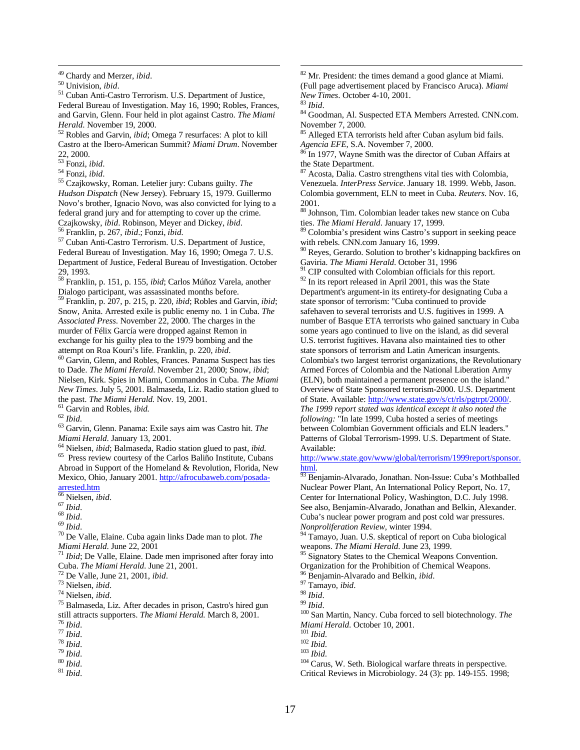<u>.</u>

<sup>51</sup> Cuban Anti-Castro Terrorism. U.S. Department of Justice, Federal Bureau of Investigation. May 16, 1990; Robles, Frances, and Garvin, Glenn. Four held in plot against Castro. *The Miami Herald*. November 19, 2000.

<sup>52</sup> Robles and Garvin, *ibid*; Omega 7 resurfaces: A plot to kill Castro at the Ibero-American Summit? *Miami Drum*. November 22, 2000.

- $\frac{22}{53}$  Fonzi, *ibid*.
- <sup>54</sup> Fonzi, *ibid*.

<sup>55</sup> Czajkowsky, Roman. Letelier jury: Cubans guilty. *The Hudson Dispatch* (New Jersey). February 15, 1979. Guillermo Novo's brother, Ignacio Novo, was also convicted for lying to a federal grand jury and for attempting to cover up the crime. Czajkowsky, *ibid*. Robinson, Meyer and Dickey, *ibid*.

<sup>56</sup> Franklin, p. 267, *ibid*.; Fonzi, *ibid.*

<sup>57</sup> Cuban Anti-Castro Terrorism. U.S. Department of Justice, Federal Bureau of Investigation. May 16, 1990; Omega 7. U.S. Department of Justice, Federal Bureau of Investigation. October 29, 1993.

<sup>58</sup> Franklin, p. 151, p. 155, *ibid*; Carlos Múñoz Varela, another Dialogo participant, was assassinated months before.

<sup>59</sup> Franklin, p. 207, p. 215, p. 220, *ibid*; Robles and Garvin, *ibid*; Snow, Anita. Arrested exile is public enemy no. 1 in Cuba. *The Associated Press*. November 22, 2000. The charges in the murder of Félix García were dropped against Remon in exchange for his guilty plea to the 1979 bombing and the attempt on Roa Kouri's life. Franklin, p. 220, *ibid*.

 $60$  Garvin, Glenn, and Robles, Frances. Panama Suspect has ties to Dade. *The Miami Herald*. November 21, 2000; Snow, *ibid*; Nielsen, Kirk. Spies in Miami, Commandos in Cuba. *The Miami New Times*. July 5, 2001. Balmaseda, Liz. Radio station glued to the past. *The Miami Herald.* Nov. 19, 2001.

<sup>61</sup> Garvin and Robles, *ibid.*

<sup>62</sup> *Ibid*.

<sup>63</sup> Garvin, Glenn. Panama: Exile says aim was Castro hit. *The Miami Herald*. January 13, 2001.

<sup>64</sup> Nielsen, *ibid*; Balmaseda, Radio station glued to past, *ibid*.

<sup>65</sup> Press review courtesy of the Carlos Baliño Institute, Cubans Abroad in Support of the Homeland & Revolution, Florida, New Mexico, Ohio, January 2001. http://afrocubaweb.com/posadaarrested.htm

<sup>66</sup> Nielsen, *ibid*.

<sup>68</sup> *Ibid*.

<sup>69</sup> *Ibid*.

<sup>70</sup> De Valle, Elaine. Cuba again links Dade man to plot. *The Miami Herald.* June 22, 2001

*Ibid*; De Valle, Elaine. Dade men imprisoned after foray into Cuba. *The Miami Herald*. June 21, 2001.

<sup>72</sup> De Valle, June 21, 2001, *ibid*.

<sup>73</sup> Nielsen, *ibid*.

<sup>74</sup> Nielsen, *ibid*.

- <sup>77</sup> *Ibid*. <sup>78</sup> *Ibid*.
- <sup>79</sup> *Ibid*.

<sup>81</sup> *Ibid*.

<sup>82</sup> Mr. President: the times demand a good glance at Miami. (Full page advertisement placed by Francisco Aruca). *Miami New Times*. October 4-10, 2001.

<sup>83</sup> *Ibid*.

 $\overline{a}$ 

84 Goodman, Al. Suspected ETA Members Arrested. CNN.com. November 7, 2000.

85 Alleged ETA terrorists held after Cuban asylum bid fails. *Agencia EFE*, S.A. November 7, 2000.

<sup>86</sup> In 1977, Wayne Smith was the director of Cuban Affairs at the State Department.

<sup>87</sup> Acosta, Dalia. Castro strengthens vital ties with Colombia, Venezuela. *InterPress Service*. January 18. 1999. Webb, Jason. Colombia government, ELN to meet in Cuba. *Reuters*. Nov. 16, 2001.

<sup>88</sup> Johnson, Tim. Colombian leader takes new stance on Cuba ties. *The Miami Herald*. January 17, 1999.

 $89$  Colombia's president wins Castro's support in seeking peace with rebels. CNN.com January 16, 1999.

<sup>90</sup> Reyes, Gerardo. Solution to brother's kidnapping backfires on Gaviria. *The Miami Herald*. October 31, 1996

CIP consulted with Colombian officials for this report. <sup>92</sup> In its report released in April 2001, this was the State

Department's argument-in its entirety-for designating Cuba a state sponsor of terrorism: "Cuba continued to provide safehaven to several terrorists and U.S. fugitives in 1999. A number of Basque ETA terrorists who gained sanctuary in Cuba some years ago continued to live on the island, as did several U.S. terrorist fugitives. Havana also maintained ties to other state sponsors of terrorism and Latin American insurgents. Colombia's two largest terrorist organizations, the Revolutionary Armed Forces of Colombia and the National Liberation Army (ELN), both maintained a permanent presence on the island." Overview of State Sponsored terrorism-2000. U.S. Department of State. Available: http://www.state.gov/s/ct/rls/pgtrpt/2000/. *The 1999 report stated was identical except it also noted the following:* "In late 1999, Cuba hosted a series of meetings between Colombian Government officials and ELN leaders." Patterns of Global Terrorism-1999. U.S. Department of State. Available:

http://www.state.gov/www/global/terrorism/1999report/sponsor. html.

<sup>93</sup> Benjamin-Alvarado, Jonathan. Non-Issue: Cuba's Mothballed Nuclear Power Plant, An International Policy Report, No. 17, Center for International Policy, Washington, D.C. July 1998. See also, Benjamin-Alvarado, Jonathan and Belkin, Alexander. Cuba's nuclear power program and post cold war pressures. *Nonproliferation Review*, winter 1994.

<sup>94</sup> Tamayo, Juan. U.S. skeptical of report on Cuba biological weapons. *The Miami Herald*. June 23, 1999.

<sup>95</sup> Signatory States to the Chemical Weapons Convention.

Organization for the Prohibition of Chemical Weapons.

- <sup>96</sup> Benjamin-Alvarado and Belkin, *ibid*.
- <sup>97</sup> Tamayo*, ibid*.

<sup>99</sup> *Ibid*.

<sup>100</sup> San Martin, Nancy. Cuba forced to sell biotechnology. *The Miami Herald*. October 10, 2001.

<sup>102</sup> *Ibid*.

<sup>104</sup> Carus, W. Seth. Biological warfare threats in perspective. Critical Reviews in Microbiology. 24 (3): pp. 149-155. 1998;

<sup>49</sup> Chardy and Merzer, *ibid*.

<sup>50</sup> Univision, *ibid*.

<sup>67</sup> *Ibid*.

<sup>75</sup> Balmaseda, Liz. After decades in prison, Castro's hired gun still attracts supporters. *The Miami Herald.* March 8, 2001.

<sup>76</sup> *Ibid*.

<sup>80</sup> *Ibid*.

<sup>98</sup> *Ibid*.

<sup>101</sup> *Ibid*.

<sup>103</sup> *Ibid*.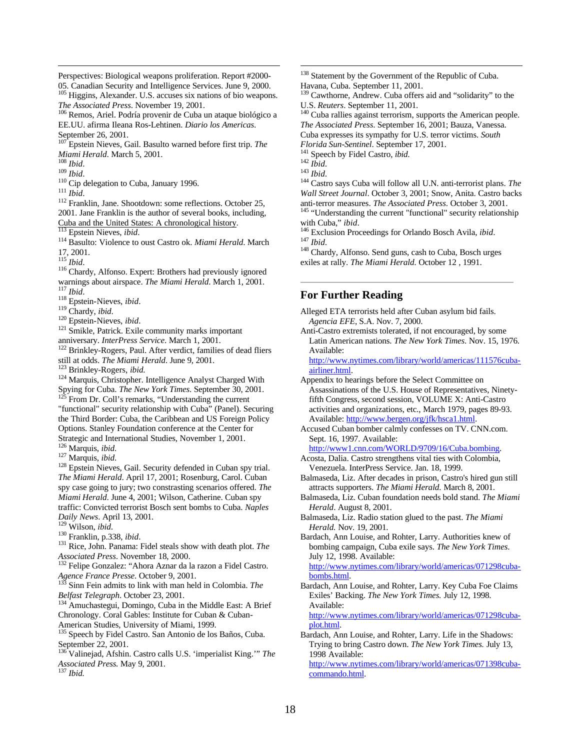Perspectives: Biological weapons proliferation. Report #2000- 05. Canadian Security and Intelligence Services. June 9, 2000.

Higgins, Alexander. U.S. accuses six nations of bio weapons. *The Associated Press*. November 19, 2001.

<sup>106</sup> Remos, Ariel. Podría provenir de Cuba un ataque biológico a EE.UU. afirma Ileana Ros-Lehtinen. *Diario los Americas*. September 26, 2001.

<sup>107</sup> Epstein Nieves, Gail. Basulto warned before first trip. *The Miami Herald*. March 5, 2001.

<sup>108</sup> *Ibid*.

<u>.</u>

<sup>109</sup> *Ibid*.

<sup>110</sup> Cip delegation to Cuba, January 1996.

<sup>111</sup> *Ibid*.

<sup>112</sup> Franklin, Jane. Shootdown: some reflections. October 25, 2001. Jane Franklin is the author of several books, including, Cuba and the United States: A chronological history.

Epstein Nieves, *ibid*.

<sup>114</sup> Basulto: Violence to oust Castro ok. *Miami Herald*. March 17, 2001.

<sup>115</sup> *Ibid*.

<sup>116</sup> Chardy, Alfonso. Expert: Brothers had previously ignored warnings about airspace. *The Miami Herald*. March 1, 2001. <sup>117</sup> *Ibid*.

<sup>118</sup> Epstein-Nieves, *ibid*.

<sup>119</sup> Chardy, *ibid*.

<sup>120</sup> Epstein-Nieves, *ibid*.

 $121$  Smikle, Patrick. Exile community marks important anniversary. *InterPress Service*. March 1, 2001.

<sup>122</sup> Brinkley-Rogers, Paul. After verdict, families of dead fliers still at odds. *The Miami Herald*. June 9, 2001.

<sup>123</sup> Brinkley-Rogers, *ibid.*

<sup>124</sup> Marquis, Christopher. Intelligence Analyst Charged With Spying for Cuba. *The New York Times*. September 30, 2001.

From Dr. Coll's remarks, "Understanding the current "functional" security relationship with Cuba" (Panel). Securing the Third Border: Cuba, the Caribbean and US Foreign Policy Options. Stanley Foundation conference at the Center for Strategic and International Studies, November 1, 2001.

<sup>126</sup> Marquis, *ibid*.

<sup>127</sup> Marquis, *ibid*.

<sup>128</sup> Epstein Nieves, Gail. Security defended in Cuban spy trial. *The Miami Herald*. April 17, 2001; Rosenburg, Carol. Cuban spy case going to jury; two constrasting scenarios offered. *The Miami Herald*. June 4, 2001; Wilson, Catherine. Cuban spy traffic: Convicted terrorist Bosch sent bombs to Cuba. *Naples Daily News*. April 13, 2001.

<sup>129</sup> Wilson, *ibid*.

<sup>130</sup> Franklin, p.338, *ibid*.

<sup>131</sup> Rice, John. Panama: Fidel steals show with death plot. *The Associated Press*. November 18, 2000.

<sup>132</sup> Felipe Gonzalez: "Ahora Aznar da la razon a Fidel Castro. *Agence France Presse*. October 9, 2001.

Sinn Fein admits to link with man held in Colombia. The *Belfast Telegraph*. October 23, 2001.

<sup>134</sup> Amuchastegui, Domingo, Cuba in the Middle East: A Brief Chronology. Coral Gables: Institute for Cuban & Cuban-

American Studies, University of Miami, 1999.

<sup>135</sup> Speech by Fidel Castro. San Antonio de los Baños, Cuba. September 22, 2001.

<sup>136</sup> Valinejad, Afshin. Castro calls U.S. 'imperialist King.'" *The Associated Press.* May 9, 2001.

<sup>137</sup> *Ibid.* 

<sup>138</sup> Statement by the Government of the Republic of Cuba. Havana, Cuba. September 11, 2001.

<sup>139</sup> Cawthorne, Andrew. Cuba offers aid and "solidarity" to the U.S. *Reuters*. September 11, 2001.

<sup>140</sup> Cuba rallies against terrorism, supports the American people. *The Associated Press*. September 16, 2001; Bauza, Vanessa.

Cuba expresses its sympathy for U.S. terror victims. *South* 

*Florida Sun-Sentinel*. September 17, 2001.

<sup>141</sup> Speech by Fidel Castro, *ibid*.

<sup>143</sup> *Ibid*.

 $\overline{a}$ 

<sup>144</sup> Castro says Cuba will follow all U.N. anti-terrorist plans. *The Wall Street Journal*. October 3, 2001; Snow, Anita. Castro backs

anti-terror measures. *The Associated Press*. October 3, 2001. <sup>145</sup> "Understanding the current "functional" security relationship with Cuba," *ibid*.

<sup>146</sup> Exclusion Proceedings for Orlando Bosch Avila, *ibid*. <sup>147</sup> *Ibid*.

<sup>148</sup> Chardy, Alfonso. Send guns, cash to Cuba, Bosch urges exiles at rally. *The Miami Herald.* October 12 , 1991.

# **For Further Reading**

Alleged ETA terrorists held after Cuban asylum bid fails. *Agencia EFE*, S.A. Nov. 7, 2000.

Anti-Castro extremists tolerated, if not encouraged, by some Latin American nations. *The New York Times*. Nov. 15, 1976. Available:

http://www.nytimes.com/library/world/americas/111576cubaairliner.html.

Appendix to hearings before the Select Committee on Assassinations of the U.S. House of Representatives, Ninetyfifth Congress, second session, VOLUME X: Anti-Castro activities and organizations, etc., March 1979, pages 89-93. Available: http://www.bergen.org/jfk/hsca1.html.

Accused Cuban bomber calmly confesses on TV. CNN.com. Sept. 16, 1997. Available:

http://www1.cnn.com/WORLD/9709/16/Cuba.bombing.

Acosta, Dalia. Castro strengthens vital ties with Colombia, Venezuela. InterPress Service. Jan. 18, 1999.

Balmaseda, Liz. After decades in prison, Castro's hired gun still attracts supporters. *The Miami Herald.* March 8, 2001.

Balmaseda, Liz. Cuban foundation needs bold stand. *The Miami Herald*. August 8, 2001.

Balmaseda, Liz. Radio station glued to the past. *The Miami Herald.* Nov. 19, 2001.

Bardach, Ann Louise, and Rohter, Larry. Authorities knew of bombing campaign, Cuba exile says. *The New York Times*. July 12, 1998. Available:

http://www.nytimes.com/library/world/americas/071298cubabombs.html.

Bardach, Ann Louise, and Rohter, Larry. Key Cuba Foe Claims Exiles' Backing. *The New York Times.* July 12, 1998. Available:

http://www.nytimes.com/library/world/americas/071298cubaplot.html.

Bardach, Ann Louise, and Rohter, Larry. Life in the Shadows: Trying to bring Castro down. *The New York Times.* July 13, 1998 Available:

http://www.nytimes.com/library/world/americas/071398cubacommando.html.

<sup>142</sup> *Ibid*.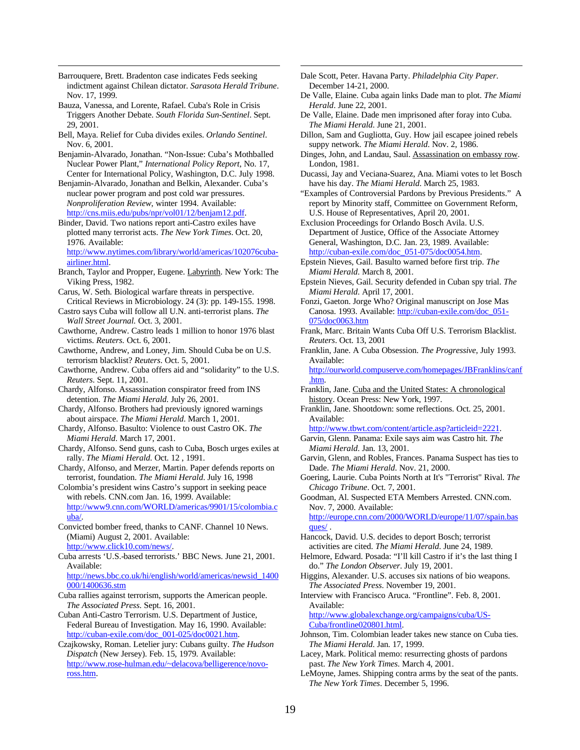Barrouquere, Brett. Bradenton case indicates Feds seeking indictment against Chilean dictator. *Sarasota Herald Tribune*. Nov. 17, 1999.

<u>.</u>

- Bauza, Vanessa, and Lorente, Rafael. Cuba's Role in Crisis Triggers Another Debate. *South Florida Sun-Sentinel*. Sept. 29, 2001.
- Bell, Maya. Relief for Cuba divides exiles. *Orlando Sentinel*. Nov. 6, 2001.
- Benjamin-Alvarado, Jonathan. "Non-Issue: Cuba's Mothballed Nuclear Power Plant," *International Policy Report*, No. 17, Center for International Policy, Washington, D.C. July 1998.
- Benjamin-Alvarado, Jonathan and Belkin, Alexander. Cuba's nuclear power program and post cold war pressures. *Nonproliferation Review*, winter 1994. Available: http://cns.miis.edu/pubs/npr/vol01/12/benjam12.pdf.
- Binder, David. Two nations report anti-Castro exiles have plotted many terrorist acts. *The New York Times*. Oct. 20, 1976. Available:

http://www.nytimes.com/library/world/americas/102076cubaairliner.html.

- Branch, Taylor and Propper, Eugene. Labyrinth. New York: The Viking Press, 1982.
- Carus, W. Seth. Biological warfare threats in perspective. Critical Reviews in Microbiology. 24 (3): pp. 149-155. 1998.
- Castro says Cuba will follow all U.N. anti-terrorist plans. *The Wall Street Journal.* Oct. 3, 2001.
- Cawthorne, Andrew. Castro leads 1 million to honor 1976 blast victims. *Reuters.* Oct. 6, 2001.
- Cawthorne, Andrew, and Loney, Jim. Should Cuba be on U.S. terrorism blacklist? *Reuters*. Oct. 5, 2001.
- Cawthorne, Andrew. Cuba offers aid and "solidarity" to the U.S. *Reuters*. Sept. 11, 2001.
- Chardy, Alfonso. Assassination conspirator freed from INS detention. *The Miami Herald.* July 26, 2001.
- Chardy, Alfonso. Brothers had previously ignored warnings about airspace. *The Miami Herald*. March 1, 2001.
- Chardy, Alfonso. Basulto: Violence to oust Castro OK. *The Miami Herald*. March 17, 2001.
- Chardy, Alfonso. Send guns, cash to Cuba, Bosch urges exiles at rally. *The Miami Herald.* Oct. 12 , 1991.
- Chardy, Alfonso, and Merzer, Martin. Paper defends reports on terrorist, foundation. *The Miami Herald*. July 16, 1998
- Colombia's president wins Castro's support in seeking peace with rebels. CNN.com Jan. 16, 1999. Available: http://www9.cnn.com/WORLD/americas/9901/15/colombia.c uba/.
- Convicted bomber freed, thanks to CANF. Channel 10 News. (Miami) August 2, 2001. Available: http://www.click10.com/news/.
- Cuba arrests 'U.S.-based terrorists.' BBC News. June 21, 2001. Available:

http://news.bbc.co.uk/hi/english/world/americas/newsid\_1400 000/1400636.stm

- Cuba rallies against terrorism, supports the American people. *The Associated Press*. Sept. 16, 2001.
- Cuban Anti-Castro Terrorism. U.S. Department of Justice, Federal Bureau of Investigation. May 16, 1990. Available: http://cuban-exile.com/doc\_001-025/doc0021.htm.
- Czajkowsky, Roman. Letelier jury: Cubans guilty. *The Hudson Dispatch* (New Jersey). Feb. 15, 1979. Available: http://www.rose-hulman.edu/~delacova/belligerence/novoross.htm.

Dale Scott, Peter. Havana Party. *Philadelphia City Paper*. December 14-21, 2000.

 $\overline{a}$ 

- De Valle, Elaine. Cuba again links Dade man to plot. *The Miami Herald*. June 22, 2001.
- De Valle, Elaine. Dade men imprisoned after foray into Cuba. *The Miami Herald*. June 21, 2001.
- Dillon, Sam and Gugliotta, Guy. How jail escapee joined rebels suppy network. *The Miami Herald*. Nov. 2, 1986.
- Dinges, John, and Landau, Saul. Assassination on embassy row. London, 1981.
- Ducassi, Jay and Veciana-Suarez, Ana. Miami votes to let Bosch have his day. *The Miami Herald*. March 25, 1983.
- "Examples of Controversial Pardons by Previous Presidents." A report by Minority staff, Committee on Government Reform, U.S. House of Representatives, April 20, 2001.

Exclusion Proceedings for Orlando Bosch Avila. U.S. Department of Justice, Office of the Associate Attorney General, Washington, D.C. Jan. 23, 1989. Available: http://cuban-exile.com/doc\_051-075/doc0054.htm.

- Epstein Nieves, Gail. Basulto warned before first trip. *The Miami Herald*. March 8, 2001.
- Epstein Nieves, Gail. Security defended in Cuban spy trial. *The Miami Herald*. April 17, 2001.
- Fonzi, Gaeton. Jorge Who? Original manuscript on Jose Mas Canosa. 1993. Available: http://cuban-exile.com/doc\_051- 075/doc0063.htm
- Frank, Marc. Britain Wants Cuba Off U.S. Terrorism Blacklist. *Reuters*. Oct. 13, 2001
- Franklin, Jane. A Cuba Obsession. *The Progressive*, July 1993. Available:
	- http://ourworld.compuserve.com/homepages/JBFranklins/canf .htm.
- Franklin, Jane. Cuba and the United States: A chronological history. Ocean Press: New York, 1997.
- Franklin, Jane. Shootdown: some reflections. Oct. 25, 2001. Available:

http://www.tbwt.com/content/article.asp?articleid=2221.

- Garvin, Glenn. Panama: Exile says aim was Castro hit. *The Miami Herald*. Jan. 13, 2001.
- Garvin, Glenn, and Robles, Frances. Panama Suspect has ties to Dade. *The Miami Herald*. Nov. 21, 2000.
- Goering, Laurie. Cuba Points North at It's "Terrorist" Rival. *The Chicago Tribune*. Oct. 7, 2001.
- Goodman, Al. Suspected ETA Members Arrested. CNN.com. Nov. 7, 2000. Available: http://europe.cnn.com/2000/WORLD/europe/11/07/spain.bas

ques/ .

- Hancock, David. U.S. decides to deport Bosch; terrorist activities are cited. *The Miami Herald*. June 24, 1989.
- Helmore, Edward. Posada: "I'll kill Castro if it's the last thing I do." *The London Observer*. July 19, 2001.
- Higgins, Alexander. U.S. accuses six nations of bio weapons. *The Associated Press*. November 19, 2001.
- Interview with Francisco Aruca. "Frontline". Feb. 8, 2001. Available:

http://www.globalexchange.org/campaigns/cuba/US-Cuba/frontline020801.html.

- Johnson, Tim. Colombian leader takes new stance on Cuba ties. *The Miami Herald*. Jan. 17, 1999.
- Lacey, Mark. Political memo: resurrecting ghosts of pardons past. *The New York Times*. March 4, 2001.
- LeMoyne, James. Shipping contra arms by the seat of the pants. *The New York Times*. December 5, 1996.